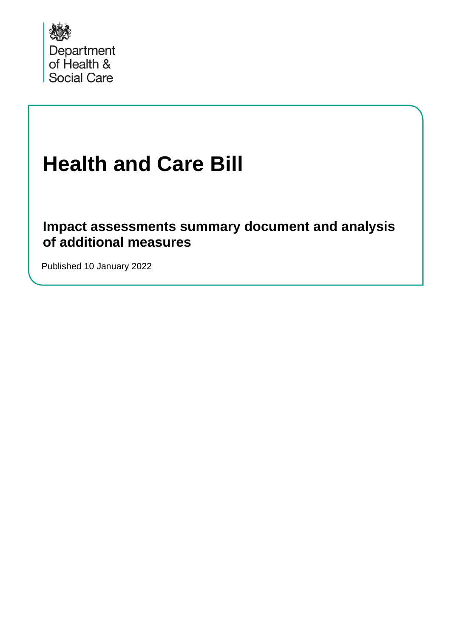

# **Health and Care Bill**

**Impact assessments summary document and analysis of additional measures**

Published 10 January 2022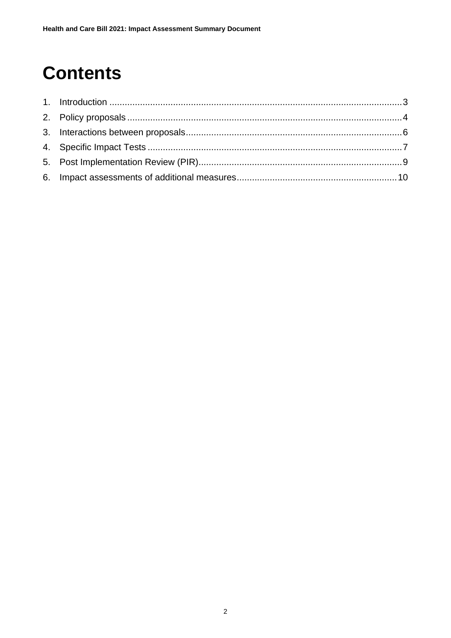## **Contents**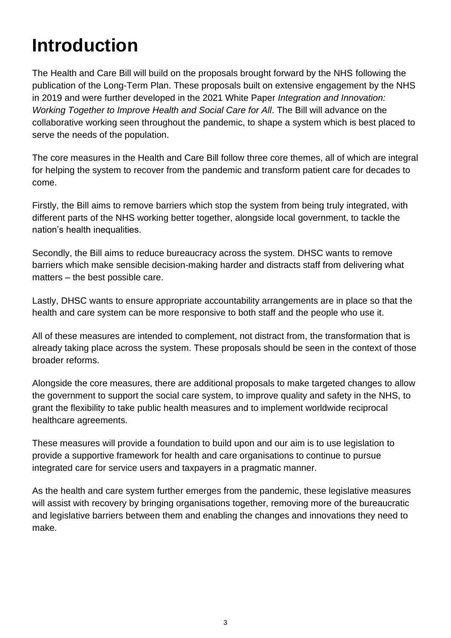## <span id="page-2-0"></span>**Introduction**

The Health and Care Bill will build on the proposals brought forward by the NHS following the publication of the Long-Term Plan. These proposals built on extensive engagement by the NHS in 2019 and were further developed in the 2021 White Paper *Integration and Innovation: Working Together to Improve Health and Social Care for All*. The Bill will advance on the collaborative working seen throughout the pandemic, to shape a system which is best placed to serve the needs of the population.

The core measures in the Health and Care Bill follow three core themes, all of which are integral for helping the system to recover from the pandemic and transform patient care for decades to come.

Firstly, the Bill aims to remove barriers which stop the system from being truly integrated, with different parts of the NHS working better together, alongside local government, to tackle the nation's health inequalities.

Secondly, the Bill aims to reduce bureaucracy across the system. DHSC wants to remove barriers which make sensible decision-making harder and distracts staff from delivering what matters – the best possible care.

Lastly, DHSC wants to ensure appropriate accountability arrangements are in place so that the health and care system can be more responsive to both staff and the people who use it.

All of these measures are intended to complement, not distract from, the transformation that is already taking place across the system. These proposals should be seen in the context of those broader reforms.

Alongside the core measures, there are additional proposals to make targeted changes to allow the government to support the social care system, to improve quality and safety in the NHS, to grant the flexibility to take public health measures and to implement worldwide reciprocal healthcare agreements.

These measures will provide a foundation to build upon and our aim is to use legislation to provide a supportive framework for health and care organisations to continue to pursue integrated care for service users and taxpayers in a pragmatic manner.

As the health and care system further emerges from the pandemic, these legislative measures will assist with recovery by bringing organisations together, removing more of the bureaucratic and legislative barriers between them and enabling the changes and innovations they need to make.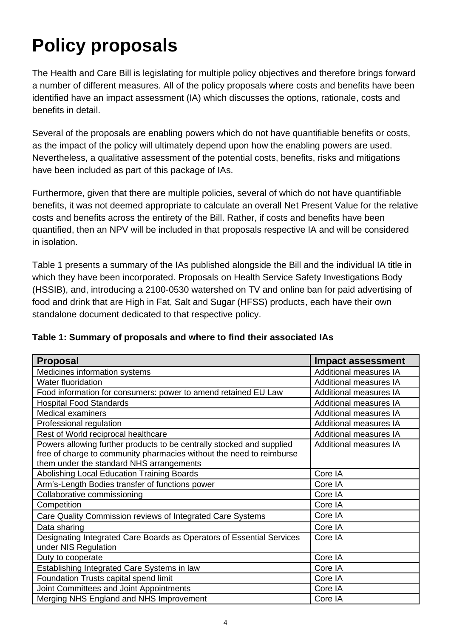## <span id="page-3-0"></span>**Policy proposals**

The Health and Care Bill is legislating for multiple policy objectives and therefore brings forward a number of different measures. All of the policy proposals where costs and benefits have been identified have an impact assessment (IA) which discusses the options, rationale, costs and benefits in detail.

Several of the proposals are enabling powers which do not have quantifiable benefits or costs, as the impact of the policy will ultimately depend upon how the enabling powers are used. Nevertheless, a qualitative assessment of the potential costs, benefits, risks and mitigations have been included as part of this package of IAs.

Furthermore, given that there are multiple policies, several of which do not have quantifiable benefits, it was not deemed appropriate to calculate an overall Net Present Value for the relative costs and benefits across the entirety of the Bill. Rather, if costs and benefits have been quantified, then an NPV will be included in that proposals respective IA and will be considered in isolation.

Table 1 presents a summary of the IAs published alongside the Bill and the individual IA title in which they have been incorporated. Proposals on Health Service Safety Investigations Body (HSSIB), and, introducing a 2100-0530 watershed on TV and online ban for paid advertising of food and drink that are High in Fat, Salt and Sugar (HFSS) products, each have their own standalone document dedicated to that respective policy.

| <b>Proposal</b>                                                                               | <b>Impact assessment</b>      |  |  |
|-----------------------------------------------------------------------------------------------|-------------------------------|--|--|
| Medicines information systems                                                                 | <b>Additional measures IA</b> |  |  |
| <b>Water fluoridation</b>                                                                     | Additional measures IA        |  |  |
| Food information for consumers: power to amend retained EU Law                                | <b>Additional measures IA</b> |  |  |
| <b>Hospital Food Standards</b>                                                                | <b>Additional measures IA</b> |  |  |
| <b>Medical examiners</b>                                                                      | <b>Additional measures IA</b> |  |  |
| Professional regulation                                                                       | <b>Additional measures IA</b> |  |  |
| Rest of World reciprocal healthcare                                                           | <b>Additional measures IA</b> |  |  |
| Powers allowing further products to be centrally stocked and supplied                         | <b>Additional measures IA</b> |  |  |
| free of charge to community pharmacies without the need to reimburse                          |                               |  |  |
| them under the standard NHS arrangements                                                      |                               |  |  |
| Abolishing Local Education Training Boards                                                    | Core IA                       |  |  |
| Arm's-Length Bodies transfer of functions power                                               | Core IA                       |  |  |
| Collaborative commissioning                                                                   | Core IA                       |  |  |
| Competition                                                                                   | Core IA                       |  |  |
| Care Quality Commission reviews of Integrated Care Systems                                    | Core IA                       |  |  |
| Data sharing                                                                                  | Core IA                       |  |  |
| Designating Integrated Care Boards as Operators of Essential Services<br>under NIS Regulation | Core IA                       |  |  |
| Duty to cooperate                                                                             | Core IA                       |  |  |
| Establishing Integrated Care Systems in law                                                   | Core IA                       |  |  |
| Foundation Trusts capital spend limit                                                         | Core IA                       |  |  |
| Joint Committees and Joint Appointments                                                       | Core IA                       |  |  |
| Merging NHS England and NHS Improvement                                                       | Core IA                       |  |  |

**Table 1: Summary of proposals and where to find their associated IAs**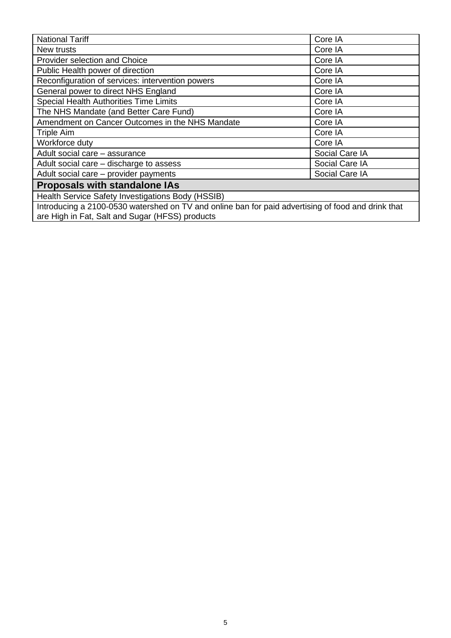| <b>National Tariff</b>                                                                                                                                | Core IA        |  |  |
|-------------------------------------------------------------------------------------------------------------------------------------------------------|----------------|--|--|
| New trusts                                                                                                                                            | Core IA        |  |  |
| <b>Provider selection and Choice</b>                                                                                                                  | Core IA        |  |  |
| Public Health power of direction                                                                                                                      | Core IA        |  |  |
| Reconfiguration of services: intervention powers                                                                                                      | Core IA        |  |  |
| General power to direct NHS England                                                                                                                   | Core IA        |  |  |
| Special Health Authorities Time Limits                                                                                                                | Core IA        |  |  |
| The NHS Mandate (and Better Care Fund)                                                                                                                | Core IA        |  |  |
| Amendment on Cancer Outcomes in the NHS Mandate                                                                                                       | Core IA        |  |  |
| Triple Aim                                                                                                                                            | Core IA        |  |  |
| Workforce duty                                                                                                                                        | Core IA        |  |  |
| Adult social care - assurance                                                                                                                         | Social Care IA |  |  |
| Adult social care – discharge to assess                                                                                                               | Social Care IA |  |  |
| Adult social care - provider payments<br>Social Care IA                                                                                               |                |  |  |
| <b>Proposals with standalone IAs</b>                                                                                                                  |                |  |  |
| Health Service Safety Investigations Body (HSSIB)                                                                                                     |                |  |  |
| Introducing a 2100-0530 watershed on TV and online ban for paid advertising of food and drink that<br>are High in Fat, Salt and Sugar (HFSS) products |                |  |  |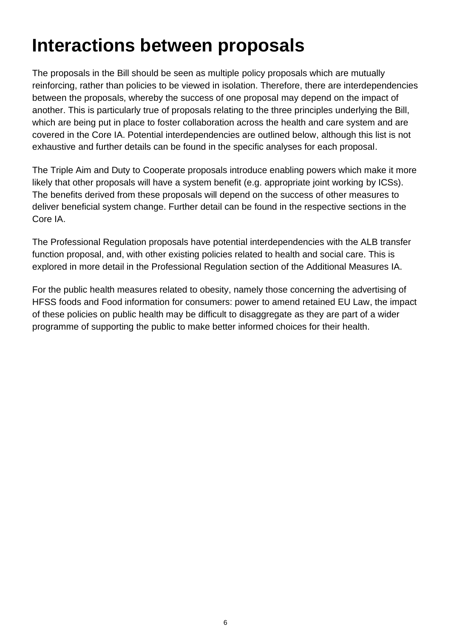## <span id="page-5-0"></span>**Interactions between proposals**

The proposals in the Bill should be seen as multiple policy proposals which are mutually reinforcing, rather than policies to be viewed in isolation. Therefore, there are interdependencies between the proposals, whereby the success of one proposal may depend on the impact of another. This is particularly true of proposals relating to the three principles underlying the Bill, which are being put in place to foster collaboration across the health and care system and are covered in the Core IA. Potential interdependencies are outlined below, although this list is not exhaustive and further details can be found in the specific analyses for each proposal.

The Triple Aim and Duty to Cooperate proposals introduce enabling powers which make it more likely that other proposals will have a system benefit (e.g. appropriate joint working by ICSs). The benefits derived from these proposals will depend on the success of other measures to deliver beneficial system change. Further detail can be found in the respective sections in the Core IA.

The Professional Regulation proposals have potential interdependencies with the ALB transfer function proposal, and, with other existing policies related to health and social care. This is explored in more detail in the Professional Regulation section of the Additional Measures IA.

For the public health measures related to obesity, namely those concerning the advertising of HFSS foods and Food information for consumers: power to amend retained EU Law, the impact of these policies on public health may be difficult to disaggregate as they are part of a wider programme of supporting the public to make better informed choices for their health.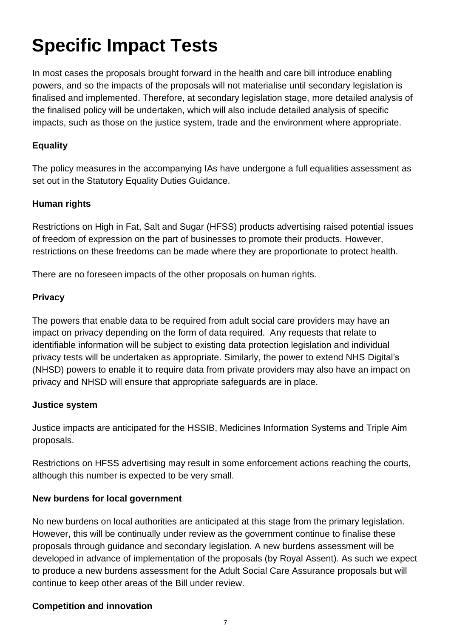## <span id="page-6-0"></span>**Specific Impact Tests**

In most cases the proposals brought forward in the health and care bill introduce enabling powers, and so the impacts of the proposals will not materialise until secondary legislation is finalised and implemented. Therefore, at secondary legislation stage, more detailed analysis of the finalised policy will be undertaken, which will also include detailed analysis of specific impacts, such as those on the justice system, trade and the environment where appropriate.

#### **Equality**

The policy measures in the accompanying IAs have undergone a full equalities assessment as set out in the Statutory Equality Duties Guidance.

#### **Human rights**

Restrictions on High in Fat, Salt and Sugar (HFSS) products advertising raised potential issues of freedom of expression on the part of businesses to promote their products. However, restrictions on these freedoms can be made where they are proportionate to protect health.

There are no foreseen impacts of the other proposals on human rights.

#### **Privacy**

The powers that enable data to be required from adult social care providers may have an impact on privacy depending on the form of data required. Any requests that relate to identifiable information will be subject to existing data protection legislation and individual privacy tests will be undertaken as appropriate. Similarly, the power to extend NHS Digital's (NHSD) powers to enable it to require data from private providers may also have an impact on privacy and NHSD will ensure that appropriate safeguards are in place.

#### **Justice system**

Justice impacts are anticipated for the HSSIB, Medicines Information Systems and Triple Aim proposals.

Restrictions on HFSS advertising may result in some enforcement actions reaching the courts, although this number is expected to be very small.

#### **New burdens for local government**

No new burdens on local authorities are anticipated at this stage from the primary legislation. However, this will be continually under review as the government continue to finalise these proposals through guidance and secondary legislation. A new burdens assessment will be developed in advance of implementation of the proposals (by Royal Assent). As such we expect to produce a new burdens assessment for the Adult Social Care Assurance proposals but will continue to keep other areas of the Bill under review.

#### **Competition and innovation**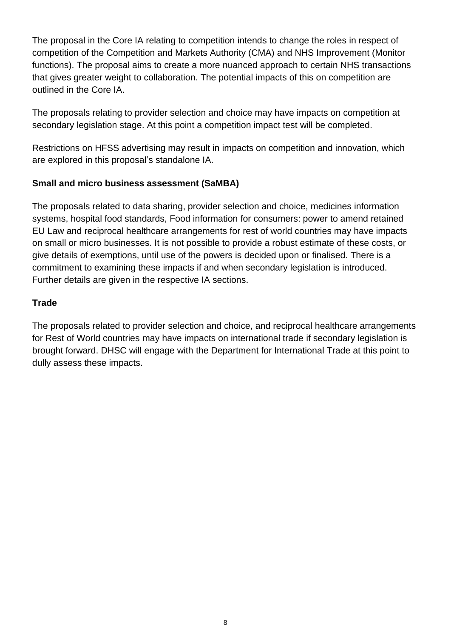The proposal in the Core IA relating to competition intends to change the roles in respect of competition of the Competition and Markets Authority (CMA) and NHS Improvement (Monitor functions). The proposal aims to create a more nuanced approach to certain NHS transactions that gives greater weight to collaboration. The potential impacts of this on competition are outlined in the Core IA.

The proposals relating to provider selection and choice may have impacts on competition at secondary legislation stage. At this point a competition impact test will be completed.

Restrictions on HFSS advertising may result in impacts on competition and innovation, which are explored in this proposal's standalone IA.

#### **Small and micro business assessment (SaMBA)**

The proposals related to data sharing, provider selection and choice, medicines information systems, hospital food standards, Food information for consumers: power to amend retained EU Law and reciprocal healthcare arrangements for rest of world countries may have impacts on small or micro businesses. It is not possible to provide a robust estimate of these costs, or give details of exemptions, until use of the powers is decided upon or finalised. There is a commitment to examining these impacts if and when secondary legislation is introduced. Further details are given in the respective IA sections.

#### **Trade**

The proposals related to provider selection and choice, and reciprocal healthcare arrangements for Rest of World countries may have impacts on international trade if secondary legislation is brought forward. DHSC will engage with the Department for International Trade at this point to dully assess these impacts.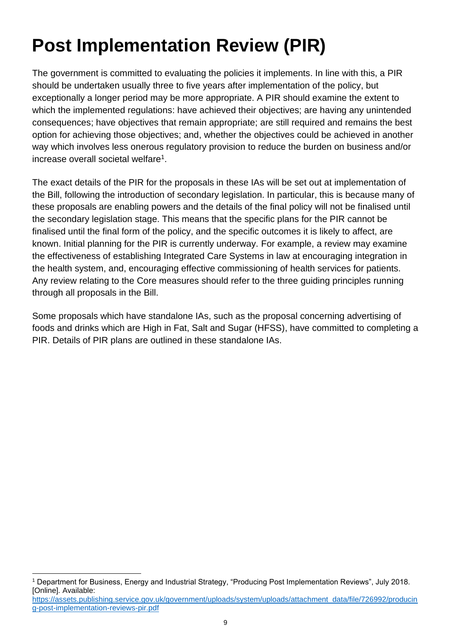## <span id="page-8-0"></span>**Post Implementation Review (PIR)**

The government is committed to evaluating the policies it implements. In line with this, a PIR should be undertaken usually three to five years after implementation of the policy, but exceptionally a longer period may be more appropriate. A PIR should examine the extent to which the implemented regulations: have achieved their objectives; are having any unintended consequences; have objectives that remain appropriate; are still required and remains the best option for achieving those objectives; and, whether the objectives could be achieved in another way which involves less onerous regulatory provision to reduce the burden on business and/or increase overall societal welfare<sup>1</sup>.

The exact details of the PIR for the proposals in these IAs will be set out at implementation of the Bill, following the introduction of secondary legislation. In particular, this is because many of these proposals are enabling powers and the details of the final policy will not be finalised until the secondary legislation stage. This means that the specific plans for the PIR cannot be finalised until the final form of the policy, and the specific outcomes it is likely to affect, are known. Initial planning for the PIR is currently underway. For example, a review may examine the effectiveness of establishing Integrated Care Systems in law at encouraging integration in the health system, and, encouraging effective commissioning of health services for patients. Any review relating to the Core measures should refer to the three guiding principles running through all proposals in the Bill.

Some proposals which have standalone IAs, such as the proposal concerning advertising of foods and drinks which are High in Fat, Salt and Sugar (HFSS), have committed to completing a PIR. Details of PIR plans are outlined in these standalone IAs.

<sup>1</sup> Department for Business, Energy and Industrial Strategy, "Producing Post Implementation Reviews", July 2018. [Online]. Available:

[https://assets.publishing.service.gov.uk/government/uploads/system/uploads/attachment\\_data/file/726992/producin](https://assets.publishing.service.gov.uk/government/uploads/system/uploads/attachment_data/file/726992/producing-post-implementation-reviews-pir.pdf) [g-post-implementation-reviews-pir.pdf](https://assets.publishing.service.gov.uk/government/uploads/system/uploads/attachment_data/file/726992/producing-post-implementation-reviews-pir.pdf)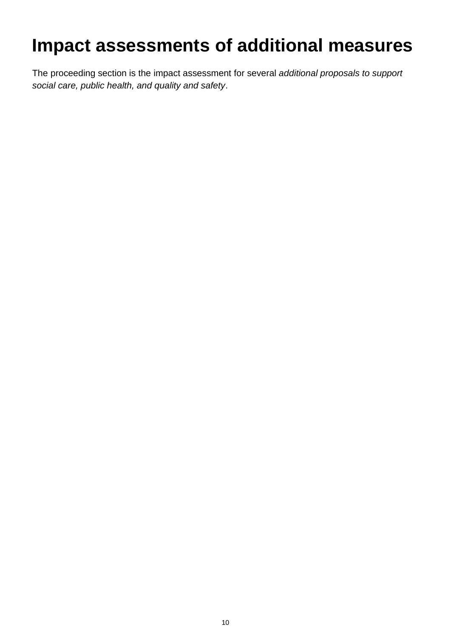## <span id="page-9-0"></span>**Impact assessments of additional measures**

The proceeding section is the impact assessment for several *additional proposals to support social care, public health, and quality and safety*.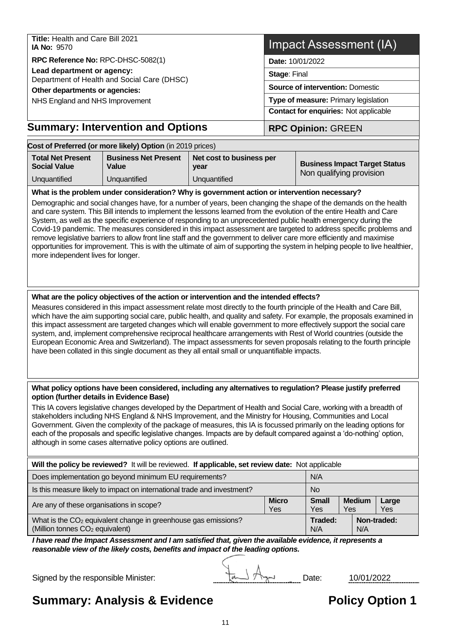**Title:** Health and Care Bill 2021 **IA No:** 9570

**RPC Reference No:** RPC-DHSC-5082(1)

**Lead department or agency:**

Department of Health and Social Care (DHSC)

**Other departments or agencies:** 

NHS England and NHS Improvement

#### **Summary: Intervention and Options | RPC Opinion: GREEN**

#### **Date:** 10/01/2022 **Stage**: Final

**Source of intervention:** Domestic

**Type of measure:** Primary legislation

**Contact for enquiries:** Not applicable

| Cost of Preferred (or more likely) Option (in 2019 prices) |                                      |                                  |                                                                  |  |  |  |
|------------------------------------------------------------|--------------------------------------|----------------------------------|------------------------------------------------------------------|--|--|--|
| <b>Total Net Present</b><br><b>Social Value</b>            | <b>Business Net Present</b><br>Value | Net cost to business per<br>vear | <b>Business Impact Target Status</b><br>Non qualifying provision |  |  |  |
| Unquantified                                               | Unguantified                         | Unguantified                     |                                                                  |  |  |  |

#### **What is the problem under consideration? Why is government action or intervention necessary?**

Demographic and social changes have, for a number of years, been changing the shape of the demands on the health and care system. This Bill intends to implement the lessons learned from the evolution of the entire Health and Care System, as well as the specific experience of responding to an unprecedented public health emergency during the Covid-19 pandemic. The measures considered in this impact assessment are targeted to address specific problems and remove legislative barriers to allow front line staff and the government to deliver care more efficiently and maximise opportunities for improvement. This is with the ultimate of aim of supporting the system in helping people to live healthier, more independent lives for longer.

#### **What are the policy objectives of the action or intervention and the intended effects?**

Measures considered in this impact assessment relate most directly to the fourth principle of the Health and Care Bill, which have the aim supporting social care, public health, and quality and safety. For example, the proposals examined in this impact assessment are targeted changes which will enable government to more effectively support the social care system, and, implement comprehensive reciprocal healthcare arrangements with Rest of World countries (outside the European Economic Area and Switzerland). The impact assessments for seven proposals relating to the fourth principle have been collated in this single document as they all entail small or unquantifiable impacts.

#### **What policy options have been considered, including any alternatives to regulation? Please justify preferred option (further details in Evidence Base)**

This IA covers legislative changes developed by the Department of Health and Social Care, working with a breadth of stakeholders including NHS England & NHS Improvement, and the Ministry for Housing, Communities and Local Government. Given the complexity of the package of measures, this IA is focussed primarily on the leading options for each of the proposals and specific legislative changes. Impacts are by default compared against a 'do-nothing' option, although in some cases alternative policy options are outlined.

| Will the policy be reviewed? It will be reviewed. If applicable, set review date: Not applicable                          |                            |                                      |     |               |                     |
|---------------------------------------------------------------------------------------------------------------------------|----------------------------|--------------------------------------|-----|---------------|---------------------|
| Does implementation go beyond minimum EU requirements?<br>N/A                                                             |                            |                                      |     |               |                     |
| Is this measure likely to impact on international trade and investment?<br><b>No</b>                                      |                            |                                      |     |               |                     |
| Are any of these organisations in scope?                                                                                  | <b>Micro</b><br><b>Yes</b> | <b>Small</b><br>Yes                  | Yes | <b>Medium</b> | Large<br><b>Yes</b> |
| What is the CO <sub>2</sub> equivalent change in greenhouse gas emissions?<br>(Million tonnes CO <sub>2</sub> equivalent) |                            | Traded:<br>Non-traded:<br>N/A<br>N/A |     |               |                     |

*I have read the Impact Assessment and I am satisfied that, given the available evidence, it represents a reasonable view of the likely costs, benefits and impact of the leading options.*

Signed by the responsible Minister:  $\sqrt{d}$  Date: 10/01/2022

## **Summary: Analysis & Evidence The Contract Policy Option 1**

## Impact Assessment (IA)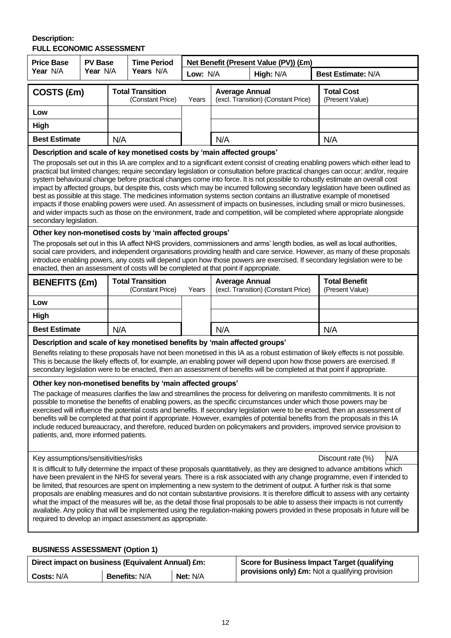#### **Description: FULL ECONOMIC ASSESSMENT**

| <b>Price Base</b>                                                                                                                                                                                                                                                                                                                                                                                                                                                                                                                                                                                                                                                                                                                                                                                                                                                                                                                                                                                                             | <b>PV Base</b> | <b>Time Period</b> |                                                                                      | Net Benefit (Present Value (PV)) (£m) |                       |                                     |                                                                                                                                                                                                                                                                                                                                                                                         |  |  |
|-------------------------------------------------------------------------------------------------------------------------------------------------------------------------------------------------------------------------------------------------------------------------------------------------------------------------------------------------------------------------------------------------------------------------------------------------------------------------------------------------------------------------------------------------------------------------------------------------------------------------------------------------------------------------------------------------------------------------------------------------------------------------------------------------------------------------------------------------------------------------------------------------------------------------------------------------------------------------------------------------------------------------------|----------------|--------------------|--------------------------------------------------------------------------------------|---------------------------------------|-----------------------|-------------------------------------|-----------------------------------------------------------------------------------------------------------------------------------------------------------------------------------------------------------------------------------------------------------------------------------------------------------------------------------------------------------------------------------------|--|--|
| Year N/A                                                                                                                                                                                                                                                                                                                                                                                                                                                                                                                                                                                                                                                                                                                                                                                                                                                                                                                                                                                                                      | Year N/A       |                    | Years N/A                                                                            |                                       | Low: N/A<br>High: N/A |                                     | <b>Best Estimate: N/A</b>                                                                                                                                                                                                                                                                                                                                                               |  |  |
| COSTS (£m)                                                                                                                                                                                                                                                                                                                                                                                                                                                                                                                                                                                                                                                                                                                                                                                                                                                                                                                                                                                                                    |                |                    | <b>Total Transition</b><br>(Constant Price)                                          | Years                                 | <b>Average Annual</b> | (excl. Transition) (Constant Price) | <b>Total Cost</b><br>(Present Value)                                                                                                                                                                                                                                                                                                                                                    |  |  |
| Low                                                                                                                                                                                                                                                                                                                                                                                                                                                                                                                                                                                                                                                                                                                                                                                                                                                                                                                                                                                                                           |                |                    |                                                                                      |                                       |                       |                                     |                                                                                                                                                                                                                                                                                                                                                                                         |  |  |
| High                                                                                                                                                                                                                                                                                                                                                                                                                                                                                                                                                                                                                                                                                                                                                                                                                                                                                                                                                                                                                          |                |                    |                                                                                      |                                       |                       |                                     |                                                                                                                                                                                                                                                                                                                                                                                         |  |  |
| <b>Best Estimate</b>                                                                                                                                                                                                                                                                                                                                                                                                                                                                                                                                                                                                                                                                                                                                                                                                                                                                                                                                                                                                          |                | N/A                |                                                                                      |                                       | N/A                   |                                     | N/A                                                                                                                                                                                                                                                                                                                                                                                     |  |  |
| Description and scale of key monetised costs by 'main affected groups'<br>The proposals set out in this IA are complex and to a significant extent consist of creating enabling powers which either lead to<br>practical but limited changes; require secondary legislation or consultation before practical changes can occur; and/or, require<br>system behavioural change before practical changes come into force. It is not possible to robustly estimate an overall cost<br>impact by affected groups, but despite this, costs which may be incurred following secondary legislation have been outlined as<br>best as possible at this stage. The medicines information systems section contains an illustrative example of monetised<br>impacts if those enabling powers were used. An assessment of impacts on businesses, including small or micro businesses,<br>and wider impacts such as those on the environment, trade and competition, will be completed where appropriate alongside<br>secondary legislation. |                |                    |                                                                                      |                                       |                       |                                     |                                                                                                                                                                                                                                                                                                                                                                                         |  |  |
|                                                                                                                                                                                                                                                                                                                                                                                                                                                                                                                                                                                                                                                                                                                                                                                                                                                                                                                                                                                                                               |                |                    | Other key non-monetised costs by 'main affected groups'                              |                                       |                       |                                     |                                                                                                                                                                                                                                                                                                                                                                                         |  |  |
|                                                                                                                                                                                                                                                                                                                                                                                                                                                                                                                                                                                                                                                                                                                                                                                                                                                                                                                                                                                                                               |                |                    | enacted, then an assessment of costs will be completed at that point if appropriate. |                                       |                       |                                     | The proposals set out in this IA affect NHS providers, commissioners and arms' length bodies, as well as local authorities,<br>social care providers, and independent organisations providing health and care service. However, as many of these proposals<br>introduce enabling powers, any costs will depend upon how those powers are exercised. If secondary legislation were to be |  |  |
| <b>BENEFITS (£m)</b>                                                                                                                                                                                                                                                                                                                                                                                                                                                                                                                                                                                                                                                                                                                                                                                                                                                                                                                                                                                                          |                |                    | <b>Total Transition</b><br>(Constant Price)                                          | Years                                 | <b>Average Annual</b> | (excl. Transition) (Constant Price) | <b>Total Benefit</b><br>(Present Value)                                                                                                                                                                                                                                                                                                                                                 |  |  |
| Low                                                                                                                                                                                                                                                                                                                                                                                                                                                                                                                                                                                                                                                                                                                                                                                                                                                                                                                                                                                                                           |                |                    |                                                                                      |                                       |                       |                                     |                                                                                                                                                                                                                                                                                                                                                                                         |  |  |
| High                                                                                                                                                                                                                                                                                                                                                                                                                                                                                                                                                                                                                                                                                                                                                                                                                                                                                                                                                                                                                          |                |                    |                                                                                      |                                       |                       |                                     |                                                                                                                                                                                                                                                                                                                                                                                         |  |  |
| <b>Best Estimate</b>                                                                                                                                                                                                                                                                                                                                                                                                                                                                                                                                                                                                                                                                                                                                                                                                                                                                                                                                                                                                          |                | N/A                |                                                                                      |                                       | N/A                   |                                     | N/A                                                                                                                                                                                                                                                                                                                                                                                     |  |  |
| Description and scale of key monetised benefits by 'main affected groups'<br>Benefits relating to these proposals have not been monetised in this IA as a robust estimation of likely effects is not possible.<br>This is because the likely effects of, for example, an enabling power will depend upon how those powers are exercised. If<br>secondary legislation were to be enacted, then an assessment of benefits will be completed at that point if appropriate.                                                                                                                                                                                                                                                                                                                                                                                                                                                                                                                                                       |                |                    |                                                                                      |                                       |                       |                                     |                                                                                                                                                                                                                                                                                                                                                                                         |  |  |
| Other key non-monetised benefits by 'main affected groups'<br>The package of measures clarifies the law and streamlines the process for delivering on manifesto commitments. It is not<br>possible to monetise the benefits of enabling powers, as the specific circumstances under which those powers may be<br>exercised will influence the potential costs and benefits. If secondary legislation were to be enacted, then an assessment of<br>benefits will be completed at that point if appropriate. However, examples of potential benefits from the proposals in this IA<br>include reduced bureaucracy, and therefore, reduced burden on policymakers and providers, improved service provision to<br>patients, and, more informed patients.                                                                                                                                                                                                                                                                         |                |                    |                                                                                      |                                       |                       |                                     |                                                                                                                                                                                                                                                                                                                                                                                         |  |  |
| N/A<br>Key assumptions/sensitivities/risks<br>Discount rate (%)                                                                                                                                                                                                                                                                                                                                                                                                                                                                                                                                                                                                                                                                                                                                                                                                                                                                                                                                                               |                |                    |                                                                                      |                                       |                       |                                     |                                                                                                                                                                                                                                                                                                                                                                                         |  |  |
| It is difficult to fully determine the impact of these proposals quantitatively, as they are designed to advance ambitions which<br>have been prevalent in the NHS for several years. There is a risk associated with any change programme, even if intended to<br>be limited, that resources are spent on implementing a new system to the detriment of output. A further risk is that some<br>proposals are enabling measures and do not contain substantive provisions. It is therefore difficult to assess with any certainty<br>what the impact of the measures will be, as the detail those final proposals to be able to assess their impacts is not currently<br>available. Any policy that will be implemented using the regulation-making powers provided in these proposals in future will be<br>required to develop an impact assessment as appropriate.                                                                                                                                                          |                |                    |                                                                                      |                                       |                       |                                     |                                                                                                                                                                                                                                                                                                                                                                                         |  |  |

### **BUSINESS ASSESSMENT (Option 1)**

| Direct impact on business (Equivalent Annual) £m: |                      |          | <b>Score for Business Impact Target (qualifying</b>    |
|---------------------------------------------------|----------------------|----------|--------------------------------------------------------|
| Costs: N/A                                        | <b>Benefits: N/A</b> | Net: N/A | <b>provisions only) £m:</b> Not a qualifying provision |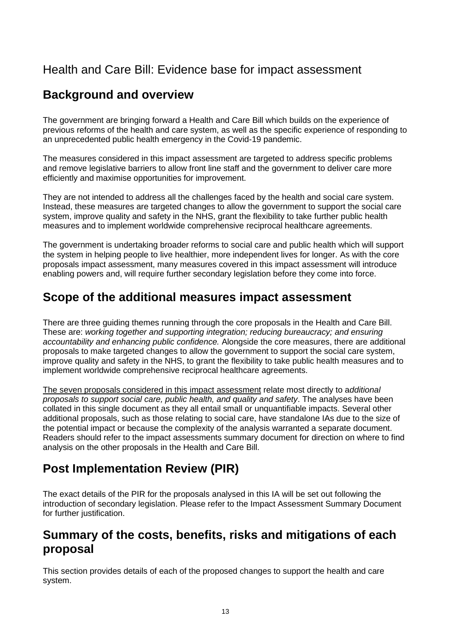## Health and Care Bill: Evidence base for impact assessment

## **Background and overview**

The government are bringing forward a Health and Care Bill which builds on the experience of previous reforms of the health and care system, as well as the specific experience of responding to an unprecedented public health emergency in the Covid-19 pandemic.

The measures considered in this impact assessment are targeted to address specific problems and remove legislative barriers to allow front line staff and the government to deliver care more efficiently and maximise opportunities for improvement.

They are not intended to address all the challenges faced by the health and social care system. Instead, these measures are targeted changes to allow the government to support the social care system, improve quality and safety in the NHS, grant the flexibility to take further public health measures and to implement worldwide comprehensive reciprocal healthcare agreements.

The government is undertaking broader reforms to social care and public health which will support the system in helping people to live healthier, more independent lives for longer. As with the core proposals impact assessment, many measures covered in this impact assessment will introduce enabling powers and, will require further secondary legislation before they come into force.

## **Scope of the additional measures impact assessment**

There are three guiding themes running through the core proposals in the Health and Care Bill. These are: *working together and supporting integration; reducing bureaucracy; and ensuring accountability and enhancing public confidence.* Alongside the core measures, there are additional proposals to make targeted changes to allow the government to support the social care system, improve quality and safety in the NHS, to grant the flexibility to take public health measures and to implement worldwide comprehensive reciprocal healthcare agreements.

The seven proposals considered in this impact assessment relate most directly to a*dditional proposals to support social care, public health, and quality and safety*. The analyses have been collated in this single document as they all entail small or unquantifiable impacts. Several other additional proposals, such as those relating to social care, have standalone IAs due to the size of the potential impact or because the complexity of the analysis warranted a separate document. Readers should refer to the impact assessments summary document for direction on where to find analysis on the other proposals in the Health and Care Bill.

## **Post Implementation Review (PIR)**

The exact details of the PIR for the proposals analysed in this IA will be set out following the introduction of secondary legislation. Please refer to the Impact Assessment Summary Document for further justification.

### **Summary of the costs, benefits, risks and mitigations of each proposal**

This section provides details of each of the proposed changes to support the health and care system.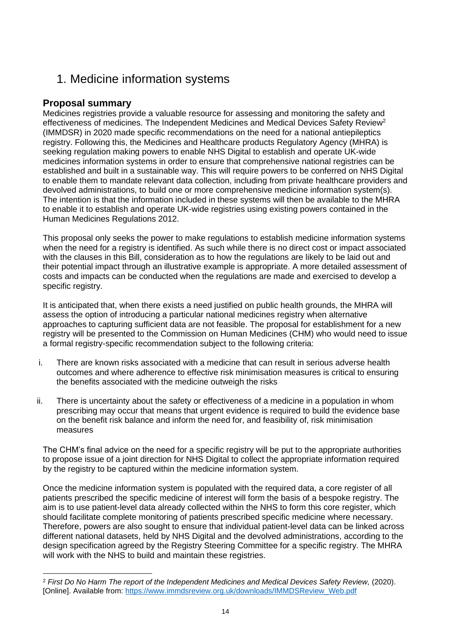## 1. Medicine information systems

### **Proposal summary**

Medicines registries provide a valuable resource for assessing and monitoring the safety and effectiveness of medicines. The Independent Medicines and Medical Devices Safety Review<sup>2</sup> (IMMDSR) in 2020 made specific recommendations on the need for a national antiepileptics registry. Following this, the Medicines and Healthcare products Regulatory Agency (MHRA) is seeking regulation making powers to enable NHS Digital to establish and operate UK-wide medicines information systems in order to ensure that comprehensive national registries can be established and built in a sustainable way. This will require powers to be conferred on NHS Digital to enable them to mandate relevant data collection, including from private healthcare providers and devolved administrations, to build one or more comprehensive medicine information system(s). The intention is that the information included in these systems will then be available to the MHRA to enable it to establish and operate UK-wide registries using existing powers contained in the Human Medicines Regulations 2012.

This proposal only seeks the power to make regulations to establish medicine information systems when the need for a registry is identified. As such while there is no direct cost or impact associated with the clauses in this Bill, consideration as to how the regulations are likely to be laid out and their potential impact through an illustrative example is appropriate. A more detailed assessment of costs and impacts can be conducted when the regulations are made and exercised to develop a specific registry.

It is anticipated that, when there exists a need justified on public health grounds, the MHRA will assess the option of introducing a particular national medicines registry when alternative approaches to capturing sufficient data are not feasible. The proposal for establishment for a new registry will be presented to the Commission on Human Medicines (CHM) who would need to issue a formal registry-specific recommendation subject to the following criteria:

- i. There are known risks associated with a medicine that can result in serious adverse health outcomes and where adherence to effective risk minimisation measures is critical to ensuring the benefits associated with the medicine outweigh the risks
- ii. There is uncertainty about the safety or effectiveness of a medicine in a population in whom prescribing may occur that means that urgent evidence is required to build the evidence base on the benefit risk balance and inform the need for, and feasibility of, risk minimisation measures

The CHM's final advice on the need for a specific registry will be put to the appropriate authorities to propose issue of a joint direction for NHS Digital to collect the appropriate information required by the registry to be captured within the medicine information system.

Once the medicine information system is populated with the required data, a core register of all patients prescribed the specific medicine of interest will form the basis of a bespoke registry. The aim is to use patient-level data already collected within the NHS to form this core register, which should facilitate complete monitoring of patients prescribed specific medicine where necessary. Therefore, powers are also sought to ensure that individual patient-level data can be linked across different national datasets, held by NHS Digital and the devolved administrations, according to the design specification agreed by the Registry Steering Committee for a specific registry. The MHRA will work with the NHS to build and maintain these registries.

<sup>&</sup>lt;sup>2</sup> First Do No Harm The report of the Independent Medicines and Medical Devices Safety Review, (2020). [Online]. Available from: [https://www.immdsreview.org.uk/downloads/IMMDSReview\\_Web.pdf](https://www.immdsreview.org.uk/downloads/IMMDSReview_Web.pdf)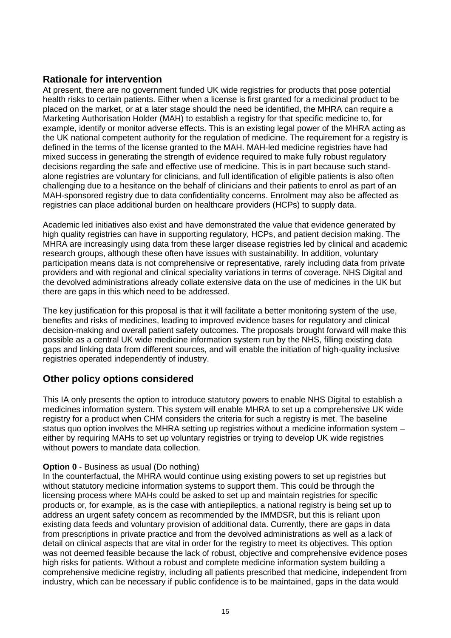#### **Rationale for intervention**

At present, there are no government funded UK wide registries for products that pose potential health risks to certain patients. Either when a license is first granted for a medicinal product to be placed on the market, or at a later stage should the need be identified, the MHRA can require a Marketing Authorisation Holder (MAH) to establish a registry for that specific medicine to, for example, identify or monitor adverse effects. This is an existing legal power of the MHRA acting as the UK national competent authority for the regulation of medicine. The requirement for a registry is defined in the terms of the license granted to the MAH. MAH-led medicine registries have had mixed success in generating the strength of evidence required to make fully robust regulatory decisions regarding the safe and effective use of medicine. This is in part because such standalone registries are voluntary for clinicians, and full identification of eligible patients is also often challenging due to a hesitance on the behalf of clinicians and their patients to enrol as part of an MAH-sponsored registry due to data confidentiality concerns. Enrolment may also be affected as registries can place additional burden on healthcare providers (HCPs) to supply data.

Academic led initiatives also exist and have demonstrated the value that evidence generated by high quality registries can have in supporting regulatory, HCPs, and patient decision making. The MHRA are increasingly using data from these larger disease registries led by clinical and academic research groups, although these often have issues with sustainability. In addition, voluntary participation means data is not comprehensive or representative, rarely including data from private providers and with regional and clinical speciality variations in terms of coverage. NHS Digital and the devolved administrations already collate extensive data on the use of medicines in the UK but there are gaps in this which need to be addressed.

The key justification for this proposal is that it will facilitate a better monitoring system of the use, benefits and risks of medicines, leading to improved evidence bases for regulatory and clinical decision-making and overall patient safety outcomes. The proposals brought forward will make this possible as a central UK wide medicine information system run by the NHS, filling existing data gaps and linking data from different sources, and will enable the initiation of high-quality inclusive registries operated independently of industry.

#### **Other policy options considered**

This IA only presents the option to introduce statutory powers to enable NHS Digital to establish a medicines information system. This system will enable MHRA to set up a comprehensive UK wide registry for a product when CHM considers the criteria for such a registry is met. The baseline status quo option involves the MHRA setting up registries without a medicine information system – either by requiring MAHs to set up voluntary registries or trying to develop UK wide registries without powers to mandate data collection.

#### **Option 0** - Business as usual (Do nothing)

In the counterfactual, the MHRA would continue using existing powers to set up registries but without statutory medicine information systems to support them. This could be through the licensing process where MAHs could be asked to set up and maintain registries for specific products or, for example, as is the case with antiepileptics, a national registry is being set up to address an urgent safety concern as recommended by the IMMDSR, but this is reliant upon existing data feeds and voluntary provision of additional data. Currently, there are gaps in data from prescriptions in private practice and from the devolved administrations as well as a lack of detail on clinical aspects that are vital in order for the registry to meet its objectives. This option was not deemed feasible because the lack of robust, objective and comprehensive evidence poses high risks for patients. Without a robust and complete medicine information system building a comprehensive medicine registry, including all patients prescribed that medicine, independent from industry, which can be necessary if public confidence is to be maintained, gaps in the data would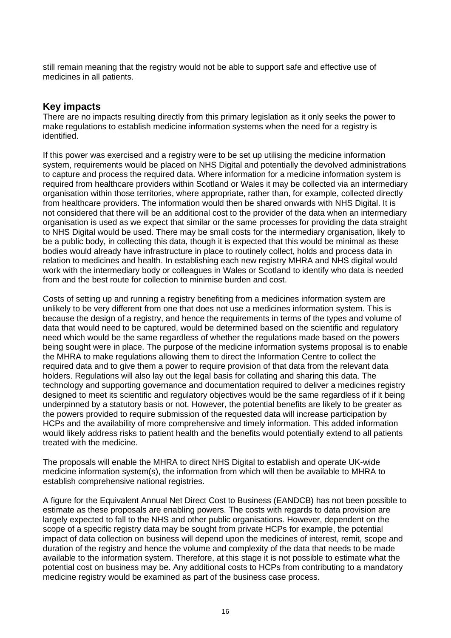still remain meaning that the registry would not be able to support safe and effective use of medicines in all patients.

#### **Key impacts**

There are no impacts resulting directly from this primary legislation as it only seeks the power to make regulations to establish medicine information systems when the need for a registry is identified.

If this power was exercised and a registry were to be set up utilising the medicine information system, requirements would be placed on NHS Digital and potentially the devolved administrations to capture and process the required data. Where information for a medicine information system is required from healthcare providers within Scotland or Wales it may be collected via an intermediary organisation within those territories, where appropriate, rather than, for example, collected directly from healthcare providers. The information would then be shared onwards with NHS Digital. It is not considered that there will be an additional cost to the provider of the data when an intermediary organisation is used as we expect that similar or the same processes for providing the data straight to NHS Digital would be used. There may be small costs for the intermediary organisation, likely to be a public body, in collecting this data, though it is expected that this would be minimal as these bodies would already have infrastructure in place to routinely collect, holds and process data in relation to medicines and health. In establishing each new registry MHRA and NHS digital would work with the intermediary body or colleagues in Wales or Scotland to identify who data is needed from and the best route for collection to minimise burden and cost.

Costs of setting up and running a registry benefiting from a medicines information system are unlikely to be very different from one that does not use a medicines information system. This is because the design of a registry, and hence the requirements in terms of the types and volume of data that would need to be captured, would be determined based on the scientific and regulatory need which would be the same regardless of whether the regulations made based on the powers being sought were in place. The purpose of the medicine information systems proposal is to enable the MHRA to make regulations allowing them to direct the Information Centre to collect the required data and to give them a power to require provision of that data from the relevant data holders. Regulations will also lay out the legal basis for collating and sharing this data. The technology and supporting governance and documentation required to deliver a medicines registry designed to meet its scientific and regulatory objectives would be the same regardless of if it being underpinned by a statutory basis or not. However, the potential benefits are likely to be greater as the powers provided to require submission of the requested data will increase participation by HCPs and the availability of more comprehensive and timely information. This added information would likely address risks to patient health and the benefits would potentially extend to all patients treated with the medicine.

The proposals will enable the MHRA to direct NHS Digital to establish and operate UK-wide medicine information system(s), the information from which will then be available to MHRA to establish comprehensive national registries.

A figure for the Equivalent Annual Net Direct Cost to Business (EANDCB) has not been possible to estimate as these proposals are enabling powers. The costs with regards to data provision are largely expected to fall to the NHS and other public organisations. However, dependent on the scope of a specific registry data may be sought from private HCPs for example, the potential impact of data collection on business will depend upon the medicines of interest, remit, scope and duration of the registry and hence the volume and complexity of the data that needs to be made available to the information system. Therefore, at this stage it is not possible to estimate what the potential cost on business may be. Any additional costs to HCPs from contributing to a mandatory medicine registry would be examined as part of the business case process.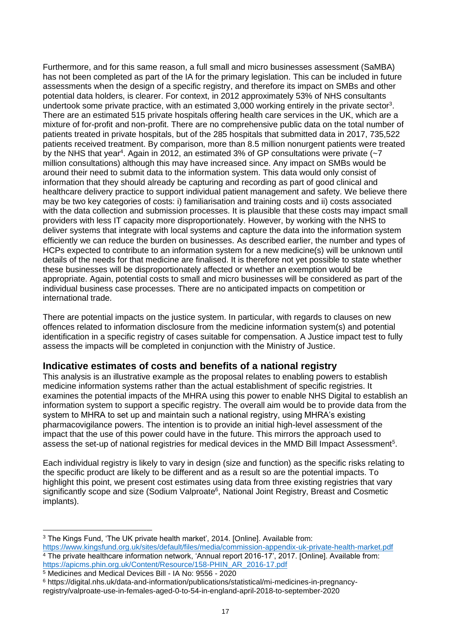Furthermore, and for this same reason, a full small and micro businesses assessment (SaMBA) has not been completed as part of the IA for the primary legislation. This can be included in future assessments when the design of a specific registry, and therefore its impact on SMBs and other potential data holders, is clearer. For context, in 2012 approximately 53% of NHS consultants undertook some private practice, with an estimated  $3,000$  working entirely in the private sector<sup>3</sup>. There are an estimated 515 private hospitals offering health care services in the UK, which are a mixture of for-profit and non-profit. There are no comprehensive public data on the total number of patients treated in private hospitals, but of the 285 hospitals that submitted data in 2017, 735,522 patients received treatment. By comparison, more than 8.5 million nonurgent patients were treated by the NHS that year<sup>4</sup>. Again in 2012, an estimated 3% of GP consultations were private  $\left(\sim 7\right)$ million consultations) although this may have increased since. Any impact on SMBs would be around their need to submit data to the information system. This data would only consist of information that they should already be capturing and recording as part of good clinical and healthcare delivery practice to support individual patient management and safety. We believe there may be two key categories of costs: i) familiarisation and training costs and ii) costs associated with the data collection and submission processes. It is plausible that these costs may impact small providers with less IT capacity more disproportionately. However, by working with the NHS to deliver systems that integrate with local systems and capture the data into the information system efficiently we can reduce the burden on businesses. As described earlier, the number and types of HCPs expected to contribute to an information system for a new medicine(s) will be unknown until details of the needs for that medicine are finalised. It is therefore not yet possible to state whether these businesses will be disproportionately affected or whether an exemption would be appropriate. Again, potential costs to small and micro businesses will be considered as part of the individual business case processes. There are no anticipated impacts on competition or international trade.

There are potential impacts on the justice system. In particular, with regards to clauses on new offences related to information disclosure from the medicine information system(s) and potential identification in a specific registry of cases suitable for compensation. A Justice impact test to fully assess the impacts will be completed in conjunction with the Ministry of Justice.

#### **Indicative estimates of costs and benefits of a national registry**

This analysis is an illustrative example as the proposal relates to enabling powers to establish medicine information systems rather than the actual establishment of specific registries. It examines the potential impacts of the MHRA using this power to enable NHS Digital to establish an information system to support a specific registry. The overall aim would be to provide data from the system to MHRA to set up and maintain such a national registry, using MHRA's existing pharmacovigilance powers. The intention is to provide an initial high-level assessment of the impact that the use of this power could have in the future. This mirrors the approach used to assess the set-up of national registries for medical devices in the MMD Bill Impact Assessment<sup>5</sup>.

Each individual registry is likely to vary in design (size and function) as the specific risks relating to the specific product are likely to be different and as a result so are the potential impacts. To highlight this point, we present cost estimates using data from three existing registries that vary significantly scope and size (Sodium Valproate<sup>6</sup>, National Joint Registry, Breast and Cosmetic implants).

<sup>3</sup> The Kings Fund, 'The UK private health market', 2014. [Online]. Available from:

<https://www.kingsfund.org.uk/sites/default/files/media/commission-appendix-uk-private-health-market.pdf> <sup>4</sup> The private healthcare information network, 'Annual report 2016-17', 2017. [Online]. Available from: [https://apicms.phin.org.uk/Content/Resource/158-PHIN\\_AR\\_2016-17.pdf](https://apicms.phin.org.uk/Content/Resource/158-PHIN_AR_2016-17.pdf)

<sup>5</sup> Medicines and Medical Devices Bill - IA No: 9556 - 2020

<sup>6</sup> https://digital.nhs.uk/data-and-information/publications/statistical/mi-medicines-in-pregnancyregistry/valproate-use-in-females-aged-0-to-54-in-england-april-2018-to-september-2020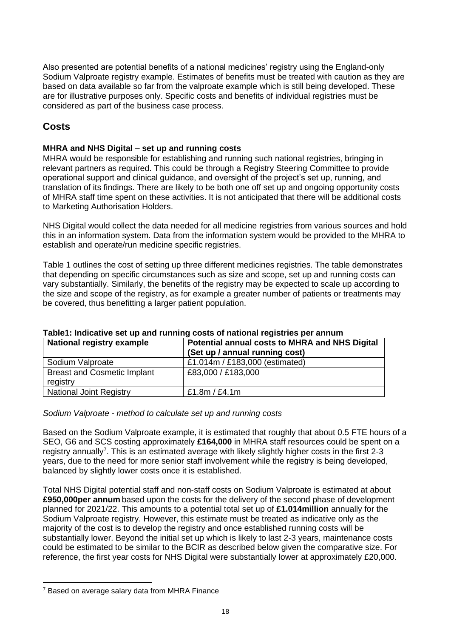Also presented are potential benefits of a national medicines' registry using the England-only Sodium Valproate registry example. Estimates of benefits must be treated with caution as they are based on data available so far from the valproate example which is still being developed. These are for illustrative purposes only. Specific costs and benefits of individual registries must be considered as part of the business case process.

### **Costs**

#### **MHRA and NHS Digital – set up and running costs**

MHRA would be responsible for establishing and running such national registries, bringing in relevant partners as required. This could be through a Registry Steering Committee to provide operational support and clinical guidance, and oversight of the project's set up, running, and translation of its findings. There are likely to be both one off set up and ongoing opportunity costs of MHRA staff time spent on these activities. It is not anticipated that there will be additional costs to Marketing Authorisation Holders.

NHS Digital would collect the data needed for all medicine registries from various sources and hold this in an information system. Data from the information system would be provided to the MHRA to establish and operate/run medicine specific registries.

Table 1 outlines the cost of setting up three different medicines registries. The table demonstrates that depending on specific circumstances such as size and scope, set up and running costs can vary substantially. Similarly, the benefits of the registry may be expected to scale up according to the size and scope of the registry, as for example a greater number of patients or treatments may be covered, thus benefitting a larger patient population.

| <b>National registry example</b>               | Potential annual costs to MHRA and NHS Digital<br>(Set up / annual running cost) |
|------------------------------------------------|----------------------------------------------------------------------------------|
| Sodium Valproate                               | £1.014m / £183,000 (estimated)                                                   |
| <b>Breast and Cosmetic Implant</b><br>registry | £83,000 / £183,000                                                               |
| <b>National Joint Registry</b>                 | £1.8 $m /$ £4.1 $m$                                                              |

#### **Table1: Indicative set up and running costs of national registries per annum**

#### *Sodium Valproate - method to calculate set up and running costs*

Based on the Sodium Valproate example, it is estimated that roughly that about 0.5 FTE hours of a SEO, G6 and SCS costing approximately **£164,000** in MHRA staff resources could be spent on a registry annually<sup>7</sup>. This is an estimated average with likely slightly higher costs in the first 2-3 years, due to the need for more senior staff involvement while the registry is being developed, balanced by slightly lower costs once it is established.

Total NHS Digital potential staff and non-staff costs on Sodium Valproate is estimated at about **£950,000per annum** based upon the costs for the delivery of the second phase of development planned for 2021/22. This amounts to a potential total set up of **£1.014million** annually for the Sodium Valproate registry. However, this estimate must be treated as indicative only as the majority of the cost is to develop the registry and once established running costs will be substantially lower. Beyond the initial set up which is likely to last 2-3 years, maintenance costs could be estimated to be similar to the BCIR as described below given the comparative size. For reference, the first year costs for NHS Digital were substantially lower at approximately £20,000.

<sup>&</sup>lt;sup>7</sup> Based on average salary data from MHRA Finance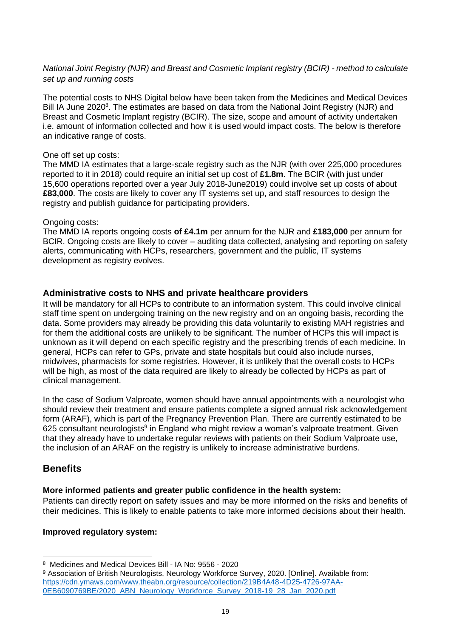#### *National Joint Registry (NJR) and Breast and Cosmetic Implant registry (BCIR) - method to calculate set up and running costs*

The potential costs to NHS Digital below have been taken from the Medicines and Medical Devices Bill IA June 2020<sup>8</sup>. The estimates are based on data from the National Joint Registry (NJR) and Breast and Cosmetic Implant registry (BCIR). The size, scope and amount of activity undertaken i.e. amount of information collected and how it is used would impact costs. The below is therefore an indicative range of costs.

#### One off set up costs:

The MMD IA estimates that a large-scale registry such as the NJR (with over 225,000 procedures reported to it in 2018) could require an initial set up cost of **£1.8m**. The BCIR (with just under 15,600 operations reported over a year July 2018-June2019) could involve set up costs of about **£83,000**. The costs are likely to cover any IT systems set up, and staff resources to design the registry and publish guidance for participating providers.

#### Ongoing costs:

The MMD IA reports ongoing costs **of £4.1m** per annum for the NJR and **£183,000** per annum for BCIR. Ongoing costs are likely to cover – auditing data collected, analysing and reporting on safety alerts, communicating with HCPs, researchers, government and the public, IT systems development as registry evolves.

#### **Administrative costs to NHS and private healthcare providers**

It will be mandatory for all HCPs to contribute to an information system. This could involve clinical staff time spent on undergoing training on the new registry and on an ongoing basis, recording the data. Some providers may already be providing this data voluntarily to existing MAH registries and for them the additional costs are unlikely to be significant. The number of HCPs this will impact is unknown as it will depend on each specific registry and the prescribing trends of each medicine. In general, HCPs can refer to GPs, private and state hospitals but could also include nurses, midwives, pharmacists for some registries. However, it is unlikely that the overall costs to HCPs will be high, as most of the data required are likely to already be collected by HCPs as part of clinical management.

In the case of Sodium Valproate, women should have annual appointments with a neurologist who should review their treatment and ensure patients complete a signed annual risk acknowledgement form (ARAF), which is part of the Pregnancy Prevention Plan. There are currently estimated to be 625 consultant neurologists<sup>9</sup> in England who might review a woman's valproate treatment. Given that they already have to undertake regular reviews with patients on their Sodium Valproate use, the inclusion of an ARAF on the registry is unlikely to increase administrative burdens.

#### **Benefits**

#### **More informed patients and greater public confidence in the health system:**

Patients can directly report on safety issues and may be more informed on the risks and benefits of their medicines. This is likely to enable patients to take more informed decisions about their health.

#### **Improved regulatory system:**

<sup>8</sup> Medicines and Medical Devices Bill - IA No: 9556 - 2020

<sup>9</sup> Association of British Neurologists, Neurology Workforce Survey, 2020. [Online]. Available from: [https://cdn.ymaws.com/www.theabn.org/resource/collection/219B4A48-4D25-4726-97AA-](https://cdn.ymaws.com/www.theabn.org/resource/collection/219B4A48-4D25-4726-97AA-0EB6090769BE/2020_ABN_Neurology_Workforce_Survey_2018-19_28_Jan_2020.pdf)[0EB6090769BE/2020\\_ABN\\_Neurology\\_Workforce\\_Survey\\_2018-19\\_28\\_Jan\\_2020.pdf](https://cdn.ymaws.com/www.theabn.org/resource/collection/219B4A48-4D25-4726-97AA-0EB6090769BE/2020_ABN_Neurology_Workforce_Survey_2018-19_28_Jan_2020.pdf)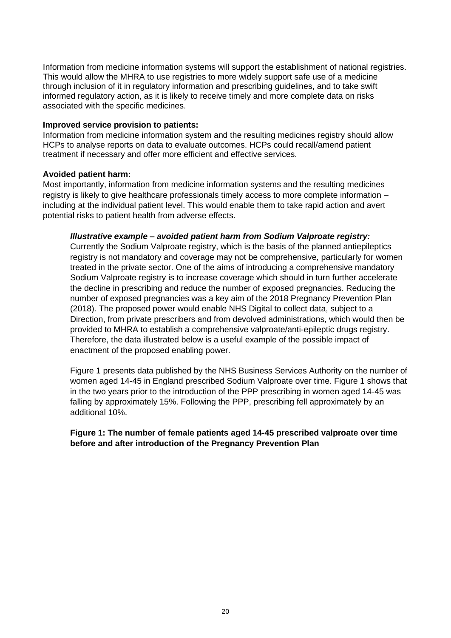Information from medicine information systems will support the establishment of national registries. This would allow the MHRA to use registries to more widely support safe use of a medicine through inclusion of it in regulatory information and prescribing guidelines, and to take swift informed regulatory action, as it is likely to receive timely and more complete data on risks associated with the specific medicines.

#### **Improved service provision to patients:**

Information from medicine information system and the resulting medicines registry should allow HCPs to analyse reports on data to evaluate outcomes. HCPs could recall/amend patient treatment if necessary and offer more efficient and effective services.

#### **Avoided patient harm:**

Most importantly, information from medicine information systems and the resulting medicines registry is likely to give healthcare professionals timely access to more complete information – including at the individual patient level. This would enable them to take rapid action and avert potential risks to patient health from adverse effects.

#### *Illustrative example – avoided patient harm from Sodium Valproate registry:*

Currently the Sodium Valproate registry, which is the basis of the planned antiepileptics registry is not mandatory and coverage may not be comprehensive, particularly for women treated in the private sector. One of the aims of introducing a comprehensive mandatory Sodium Valproate registry is to increase coverage which should in turn further accelerate the decline in prescribing and reduce the number of exposed pregnancies. Reducing the number of exposed pregnancies was a key aim of the 2018 Pregnancy Prevention Plan (2018). The proposed power would enable NHS Digital to collect data, subject to a Direction, from private prescribers and from devolved administrations, which would then be provided to MHRA to establish a comprehensive valproate/anti-epileptic drugs registry. Therefore, the data illustrated below is a useful example of the possible impact of enactment of the proposed enabling power.

Figure 1 presents data published by the NHS Business Services Authority on the number of women aged 14-45 in England prescribed Sodium Valproate over time. Figure 1 shows that in the two years prior to the introduction of the PPP prescribing in women aged 14-45 was falling by approximately 15%. Following the PPP, prescribing fell approximately by an additional 10%.

#### **Figure 1: The number of female patients aged 14-45 prescribed valproate over time before and after introduction of the Pregnancy Prevention Plan**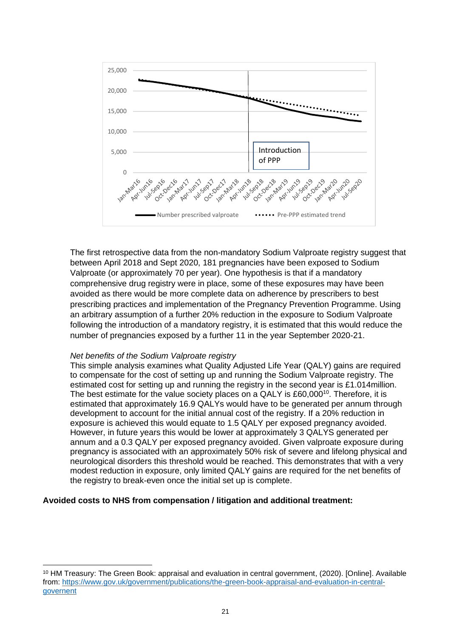

The first retrospective data from the non-mandatory Sodium Valproate registry suggest that between April 2018 and Sept 2020, 181 pregnancies have been exposed to Sodium Valproate (or approximately 70 per year). One hypothesis is that if a mandatory comprehensive drug registry were in place, some of these exposures may have been avoided as there would be more complete data on adherence by prescribers to best prescribing practices and implementation of the Pregnancy Prevention Programme. Using an arbitrary assumption of a further 20% reduction in the exposure to Sodium Valproate following the introduction of a mandatory registry, it is estimated that this would reduce the number of pregnancies exposed by a further 11 in the year September 2020-21.

#### *Net benefits of the Sodium Valproate registry*

This simple analysis examines what Quality Adjusted Life Year (QALY) gains are required to compensate for the cost of setting up and running the Sodium Valproate registry. The estimated cost for setting up and running the registry in the second year is £1.014million. The best estimate for the value society places on a QALY is £60,000<sup>10</sup>. Therefore, it is estimated that approximately 16.9 QALYs would have to be generated per annum through development to account for the initial annual cost of the registry. If a 20% reduction in exposure is achieved this would equate to 1.5 QALY per exposed pregnancy avoided. However, in future years this would be lower at approximately 3 QALYS generated per annum and a 0.3 QALY per exposed pregnancy avoided. Given valproate exposure during pregnancy is associated with an approximately 50% risk of severe and lifelong physical and neurological disorders this threshold would be reached. This demonstrates that with a very modest reduction in exposure, only limited QALY gains are required for the net benefits of the registry to break-even once the initial set up is complete.

#### **Avoided costs to NHS from compensation / litigation and additional treatment:**

<sup>10</sup> HM Treasury: The Green Book: appraisal and evaluation in central government, (2020). [Online]. Available from: [https://www.gov.uk/government/publications/the-green-book-appraisal-and-evaluation-in-central](https://www.gov.uk/government/publications/the-green-book-appraisal-and-evaluation-in-central-governent)[governent](https://www.gov.uk/government/publications/the-green-book-appraisal-and-evaluation-in-central-governent)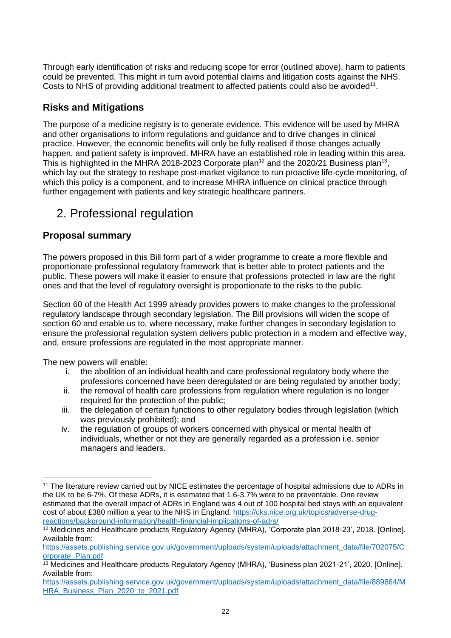Through early identification of risks and reducing scope for error (outlined above), harm to patients could be prevented. This might in turn avoid potential claims and litigation costs against the NHS. Costs to NHS of providing additional treatment to affected patients could also be avoided<sup>11</sup>.

#### **Risks and Mitigations**

The purpose of a medicine registry is to generate evidence. This evidence will be used by MHRA and other organisations to inform regulations and guidance and to drive changes in clinical practice. However, the economic benefits will only be fully realised if those changes actually happen, and patient safety is improved. MHRA have an established role in leading within this area. This is highlighted in the MHRA 2018-2023 Corporate plan<sup>12</sup> and the 2020/21 Business plan<sup>13</sup>, which lay out the strategy to reshape post-market vigilance to run proactive life-cycle monitoring, of which this policy is a component, and to increase MHRA influence on clinical practice through further engagement with patients and key strategic healthcare partners.

## 2. Professional regulation

#### **Proposal summary**

The powers proposed in this Bill form part of a wider programme to create a more flexible and proportionate professional regulatory framework that is better able to protect patients and the public. These powers will make it easier to ensure that professions protected in law are the right ones and that the level of regulatory oversight is proportionate to the risks to the public.

Section 60 of the Health Act 1999 already provides powers to make changes to the professional regulatory landscape through secondary legislation. The Bill provisions will widen the scope of section 60 and enable us to, where necessary, make further changes in secondary legislation to ensure the professional regulation system delivers public protection in a modern and effective way, and, ensure professions are regulated in the most appropriate manner.

The new powers will enable:

- i. the abolition of an individual health and care professional regulatory body where the professions concerned have been deregulated or are being regulated by another body;
- ii. the removal of health care professions from regulation where regulation is no longer required for the protection of the public;
- iii. the delegation of certain functions to other regulatory bodies through legislation (which was previously prohibited); and
- iv. the regulation of groups of workers concerned with physical or mental health of individuals, whether or not they are generally regarded as a profession i.e. senior managers and leaders.

<sup>11</sup> The literature review carried out by NICE estimates the percentage of hospital admissions due to ADRs in the UK to be 6-7%. Of these ADRs, it is estimated that 1.6-3.7% were to be preventable. One review estimated that the overall impact of ADRs in England was 4 out of 100 hospital bed stays with an equivalent cost of about £380 million a year to the NHS in England. [https://cks.nice.org.uk/topics/adverse-drug](https://cks.nice.org.uk/topics/adverse-drug-reactions/background-information/health-financial-implications-of-adrs/)[reactions/background-information/health-financial-implications-of-adrs/](https://cks.nice.org.uk/topics/adverse-drug-reactions/background-information/health-financial-implications-of-adrs/)

<sup>12</sup> Medicines and Healthcare products Regulatory Agency (MHRA), 'Corporate plan 2018-23', 2018. [Online]. Available from:

[https://assets.publishing.service.gov.uk/government/uploads/system/uploads/attachment\\_data/file/702075/C](https://assets.publishing.service.gov.uk/government/uploads/system/uploads/attachment_data/file/702075/Corporate_Plan.pdf) [orporate\\_Plan.pdf](https://assets.publishing.service.gov.uk/government/uploads/system/uploads/attachment_data/file/702075/Corporate_Plan.pdf)

<sup>13</sup> Medicines and Healthcare products Regulatory Agency (MHRA), 'Business plan 2021-21', 2020. [Online]. Available from:

[https://assets.publishing.service.gov.uk/government/uploads/system/uploads/attachment\\_data/file/889864/M](https://assets.publishing.service.gov.uk/government/uploads/system/uploads/attachment_data/file/889864/MHRA_Business_Plan_2020_to_2021.pdf) [HRA\\_Business\\_Plan\\_2020\\_to\\_2021.pdf](https://assets.publishing.service.gov.uk/government/uploads/system/uploads/attachment_data/file/889864/MHRA_Business_Plan_2020_to_2021.pdf)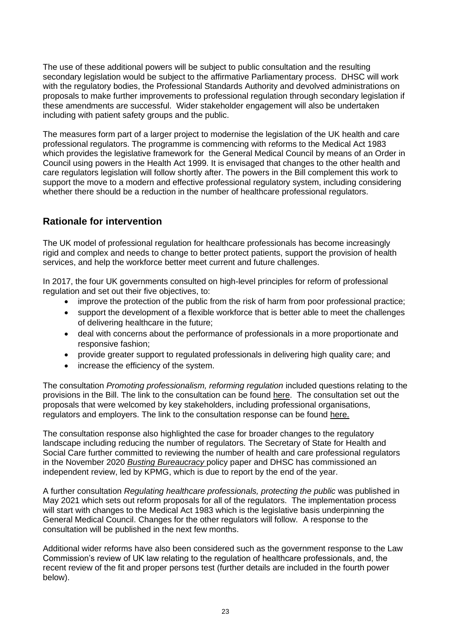The use of these additional powers will be subject to public consultation and the resulting secondary legislation would be subject to the affirmative Parliamentary process. DHSC will work with the regulatory bodies, the Professional Standards Authority and devolved administrations on proposals to make further improvements to professional regulation through secondary legislation if these amendments are successful. Wider stakeholder engagement will also be undertaken including with patient safety groups and the public.

The measures form part of a larger project to modernise the legislation of the UK health and care professional regulators. The programme is commencing with reforms to the Medical Act 1983 which provides the legislative framework for the General Medical Council by means of an Order in Council using powers in the Health Act 1999. It is envisaged that changes to the other health and care regulators legislation will follow shortly after. The powers in the Bill complement this work to support the move to a modern and effective professional regulatory system, including considering whether there should be a reduction in the number of healthcare professional regulators.

#### **Rationale for intervention**

The UK model of professional regulation for healthcare professionals has become increasingly rigid and complex and needs to change to better protect patients, support the provision of health services, and help the workforce better meet current and future challenges.

In 2017, the four UK governments consulted on high-level principles for reform of professional regulation and set out their five objectives, to:

- improve the protection of the public from the risk of harm from poor professional practice;
- support the development of a flexible workforce that is better able to meet the challenges of delivering healthcare in the future;
- deal with concerns about the performance of professionals in a more proportionate and responsive fashion;
- provide greater support to regulated professionals in delivering high quality care; and
- increase the efficiency of the system.

The consultation *Promoting professionalism, reforming regulation* included questions relating to the provisions in the Bill. The link to the consultation can be found [here.](http://qna.files.parliament.uk/ws-attachments/780700/original/Regulatory%20Reform%20Consultation%20FINAL%20FOR%20PUBLICATION.pdf) The consultation set out the proposals that were welcomed by key stakeholders, including professional organisations, regulators and employers. The link to the consultation response can be found [here.](https://assets.publishing.service.gov.uk/government/uploads/system/uploads/attachment_data/file/820566/Promoting_professionalism_reforming_regulation_consultation_reponse.pdf)

The consultation response also highlighted the case for broader changes to the regulatory landscape including reducing the number of regulators. The Secretary of State for Health and Social Care further committed to reviewing the number of health and care professional regulators in the November 2020 *[Busting Bureaucracy](https://www.gov.uk/government/consultations/reducing-bureaucracy-in-the-health-and-social-care-system-call-for-evidence/outcome/busting-bureaucracy-empowering-frontline-staff-by-reducing-excess-bureaucracy-in-the-health-and-care-system-in-england)* policy paper and DHSC has commissioned an independent review, led by KPMG, which is due to report by the end of the year.

A further consultation *Regulating healthcare professionals, protecting the public* was published in May 2021 which sets out reform proposals for all of the regulators. The implementation process will start with changes to the Medical Act 1983 which is the legislative basis underpinning the General Medical Council. Changes for the other regulators will follow. A response to the consultation will be published in the next few months.

Additional wider reforms have also been considered such as the government response to the Law Commission's review of UK law relating to the regulation of healthcare professionals, and, the recent review of the fit and proper persons test (further details are included in the fourth power below).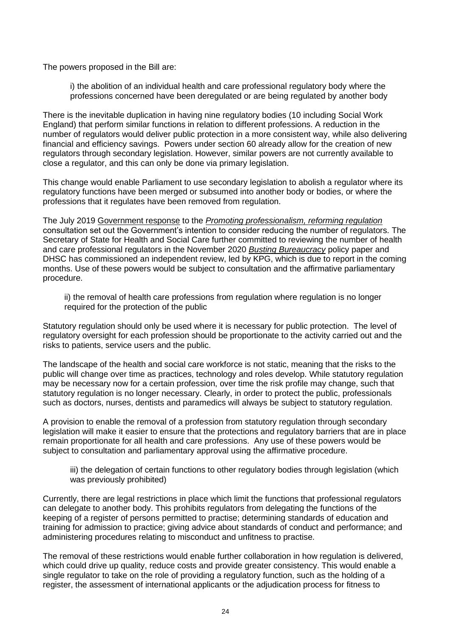The powers proposed in the Bill are:

i) the abolition of an individual health and care professional regulatory body where the professions concerned have been deregulated or are being regulated by another body

There is the inevitable duplication in having nine regulatory bodies (10 including Social Work England) that perform similar functions in relation to different professions. A reduction in the number of regulators would deliver public protection in a more consistent way, while also delivering financial and efficiency savings. Powers under section 60 already allow for the creation of new regulators through secondary legislation. However, similar powers are not currently available to close a regulator, and this can only be done via primary legislation.

This change would enable Parliament to use secondary legislation to abolish a regulator where its regulatory functions have been merged or subsumed into another body or bodies, or where the professions that it regulates have been removed from regulation.

The July 2019 [Government response](https://assets.publishing.service.gov.uk/government/uploads/system/uploads/attachment_data/file/820566/Promoting_professionalism_reforming_regulation_consultation_reponse.pdf) to the *[Promoting professionalism, reforming regulation](http://qna.files.parliament.uk/ws-attachments/780700/original/Regulatory%20Reform%20Consultation%20FINAL%20FOR%20PUBLICATION.pdf)* consultation set out the Government's intention to consider reducing the number of regulators. The Secretary of State for Health and Social Care further committed to reviewing the number of health and care professional regulators in the November 2020 *[Busting Bureaucracy](https://www.gov.uk/government/consultations/reducing-bureaucracy-in-the-health-and-social-care-system-call-for-evidence/outcome/busting-bureaucracy-empowering-frontline-staff-by-reducing-excess-bureaucracy-in-the-health-and-care-system-in-england)* policy paper and DHSC has commissioned an independent review, led by KPG, which is due to report in the coming months. Use of these powers would be subject to consultation and the affirmative parliamentary procedure.

ii) the removal of health care professions from regulation where regulation is no longer required for the protection of the public

Statutory regulation should only be used where it is necessary for public protection. The level of regulatory oversight for each profession should be proportionate to the activity carried out and the risks to patients, service users and the public.

The landscape of the health and social care workforce is not static, meaning that the risks to the public will change over time as practices, technology and roles develop. While statutory regulation may be necessary now for a certain profession, over time the risk profile may change, such that statutory regulation is no longer necessary. Clearly, in order to protect the public, professionals such as doctors, nurses, dentists and paramedics will always be subject to statutory regulation.

A provision to enable the removal of a profession from statutory regulation through secondary legislation will make it easier to ensure that the protections and regulatory barriers that are in place remain proportionate for all health and care professions. Any use of these powers would be subject to consultation and parliamentary approval using the affirmative procedure.

iii) the delegation of certain functions to other regulatory bodies through legislation (which was previously prohibited)

Currently, there are legal restrictions in place which limit the functions that professional regulators can delegate to another body. This prohibits regulators from delegating the functions of the keeping of a register of persons permitted to practise; determining standards of education and training for admission to practice; giving advice about standards of conduct and performance; and administering procedures relating to misconduct and unfitness to practise.

The removal of these restrictions would enable further collaboration in how regulation is delivered, which could drive up quality, reduce costs and provide greater consistency. This would enable a single regulator to take on the role of providing a regulatory function, such as the holding of a register, the assessment of international applicants or the adjudication process for fitness to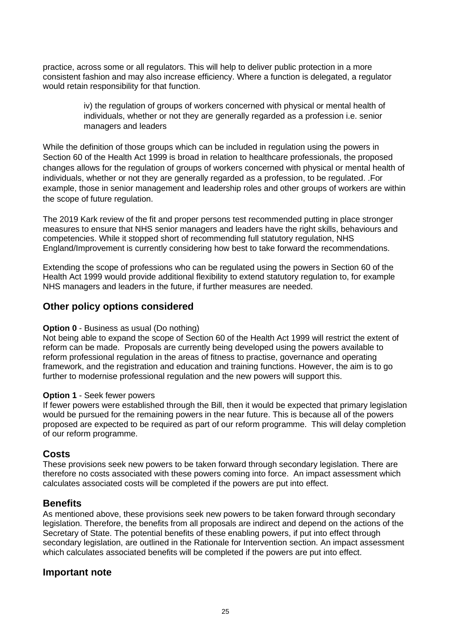practice, across some or all regulators. This will help to deliver public protection in a more consistent fashion and may also increase efficiency. Where a function is delegated, a regulator would retain responsibility for that function.

> iv) the regulation of groups of workers concerned with physical or mental health of individuals, whether or not they are generally regarded as a profession i.e. senior managers and leaders

While the definition of those groups which can be included in regulation using the powers in Section 60 of the Health Act 1999 is broad in relation to healthcare professionals, the proposed changes allows for the regulation of groups of workers concerned with physical or mental health of individuals, whether or not they are generally regarded as a profession, to be regulated. .For example, those in senior management and leadership roles and other groups of workers are within the scope of future regulation.

The 2019 Kark review of the fit and proper persons test recommended putting in place stronger measures to ensure that NHS senior managers and leaders have the right skills, behaviours and competencies. While it stopped short of recommending full statutory regulation, NHS England/Improvement is currently considering how best to take forward the recommendations.

Extending the scope of professions who can be regulated using the powers in Section 60 of the Health Act 1999 would provide additional flexibility to extend statutory regulation to, for example NHS managers and leaders in the future, if further measures are needed.

#### **Other policy options considered**

#### **Option 0** - Business as usual (Do nothing)

Not being able to expand the scope of Section 60 of the Health Act 1999 will restrict the extent of reform can be made. Proposals are currently being developed using the powers available to reform professional regulation in the areas of fitness to practise, governance and operating framework, and the registration and education and training functions. However, the aim is to go further to modernise professional regulation and the new powers will support this.

#### **Option 1** - Seek fewer powers

If fewer powers were established through the Bill, then it would be expected that primary legislation would be pursued for the remaining powers in the near future. This is because all of the powers proposed are expected to be required as part of our reform programme. This will delay completion of our reform programme.

#### **Costs**

These provisions seek new powers to be taken forward through secondary legislation. There are therefore no costs associated with these powers coming into force. An impact assessment which calculates associated costs will be completed if the powers are put into effect.

#### **Benefits**

As mentioned above, these provisions seek new powers to be taken forward through secondary legislation. Therefore, the benefits from all proposals are indirect and depend on the actions of the Secretary of State. The potential benefits of these enabling powers, if put into effect through secondary legislation, are outlined in the Rationale for Intervention section. An impact assessment which calculates associated benefits will be completed if the powers are put into effect.

#### **Important note**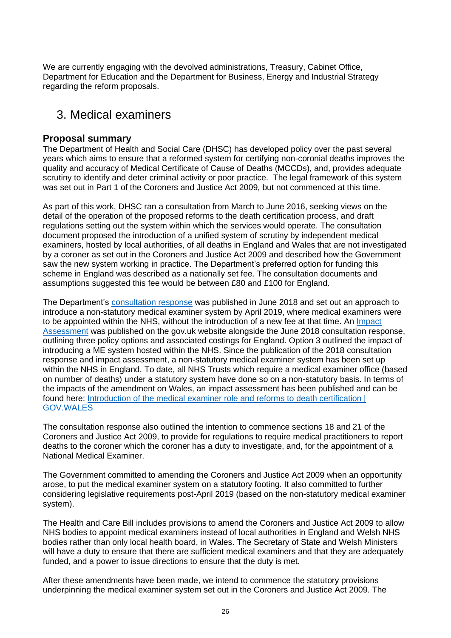We are currently engaging with the devolved administrations, Treasury, Cabinet Office, Department for Education and the Department for Business, Energy and Industrial Strategy regarding the reform proposals.

### 3. Medical examiners

#### **Proposal summary**

The Department of Health and Social Care (DHSC) has developed policy over the past several years which aims to ensure that a reformed system for certifying non-coronial deaths improves the quality and accuracy of Medical Certificate of Cause of Deaths (MCCDs), and, provides adequate scrutiny to identify and deter criminal activity or poor practice. The legal framework of this system was set out in Part 1 of the Coroners and Justice Act 2009, but not commenced at this time.

As part of this work, DHSC ran a consultation from March to June 2016, seeking views on the detail of the operation of the proposed reforms to the death certification process, and draft regulations setting out the system within which the services would operate. The consultation document proposed the introduction of a unified system of scrutiny by independent medical examiners, hosted by local authorities, of all deaths in England and Wales that are not investigated by a coroner as set out in the Coroners and Justice Act 2009 and described how the Government saw the new system working in practice. The Department's preferred option for funding this scheme in England was described as a nationally set fee. The consultation documents and assumptions suggested this fee would be between £80 and £100 for England.

The Department's [consultation response](https://www.gov.uk/government/consultations/death-certification-reforms) was published in June 2018 and set out an approach to introduce a non-statutory medical examiner system by April 2019, where medical examiners were to be appointed within the NHS, without the introduction of a new fee at that time. An [Impact](https://www.gov.uk/government/consultations/death-certification-reforms)  [Assessment](https://www.gov.uk/government/consultations/death-certification-reforms) was published on the gov.uk website alongside the June 2018 consultation response, outlining three policy options and associated costings for England. Option 3 outlined the impact of introducing a ME system hosted within the NHS. Since the publication of the 2018 consultation response and impact assessment, a non-statutory medical examiner system has been set up within the NHS in England. To date, all NHS Trusts which require a medical examiner office (based on number of deaths) under a statutory system have done so on a non-statutory basis. In terms of the impacts of the amendment on Wales, an impact assessment has been published and can be found here: [Introduction of the medical examiner role and reforms to death certification |](https://gov.wales/introduction-medical-examiner-role-and-reforms-death-certification)  [GOV.WALES](https://gov.wales/introduction-medical-examiner-role-and-reforms-death-certification)

The consultation response also outlined the intention to commence sections 18 and 21 of the Coroners and Justice Act 2009, to provide for regulations to require medical practitioners to report deaths to the coroner which the coroner has a duty to investigate, and, for the appointment of a National Medical Examiner.

The Government committed to amending the Coroners and Justice Act 2009 when an opportunity arose, to put the medical examiner system on a statutory footing. It also committed to further considering legislative requirements post-April 2019 (based on the non-statutory medical examiner system).

The Health and Care Bill includes provisions to amend the Coroners and Justice Act 2009 to allow NHS bodies to appoint medical examiners instead of local authorities in England and Welsh NHS bodies rather than only local health board, in Wales. The Secretary of State and Welsh Ministers will have a duty to ensure that there are sufficient medical examiners and that they are adequately funded, and a power to issue directions to ensure that the duty is met.

After these amendments have been made, we intend to commence the statutory provisions underpinning the medical examiner system set out in the Coroners and Justice Act 2009. The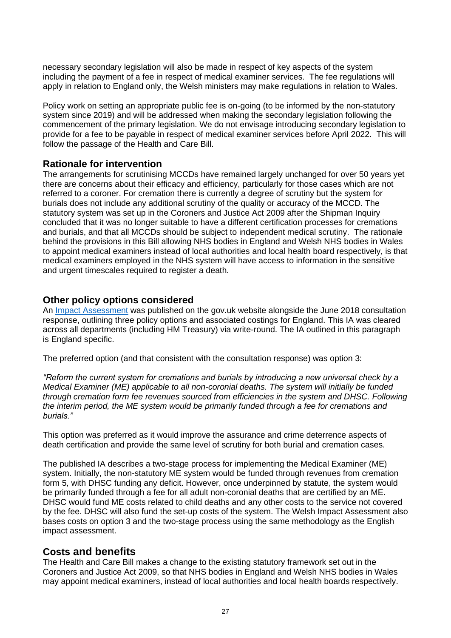necessary secondary legislation will also be made in respect of key aspects of the system including the payment of a fee in respect of medical examiner services. The fee regulations will apply in relation to England only, the Welsh ministers may make regulations in relation to Wales.

Policy work on setting an appropriate public fee is on-going (to be informed by the non-statutory system since 2019) and will be addressed when making the secondary legislation following the commencement of the primary legislation. We do not envisage introducing secondary legislation to provide for a fee to be payable in respect of medical examiner services before April 2022. This will follow the passage of the Health and Care Bill.

#### **Rationale for intervention**

The arrangements for scrutinising MCCDs have remained largely unchanged for over 50 years yet there are concerns about their efficacy and efficiency, particularly for those cases which are not referred to a coroner. For cremation there is currently a degree of scrutiny but the system for burials does not include any additional scrutiny of the quality or accuracy of the MCCD. The statutory system was set up in the Coroners and Justice Act 2009 after the Shipman Inquiry concluded that it was no longer suitable to have a different certification processes for cremations and burials, and that all MCCDs should be subject to independent medical scrutiny. The rationale behind the provisions in this Bill allowing NHS bodies in England and Welsh NHS bodies in Wales to appoint medical examiners instead of local authorities and local health board respectively, is that medical examiners employed in the NHS system will have access to information in the sensitive and urgent timescales required to register a death.

#### **Other policy options considered**

An [Impact Assessment](https://www.gov.uk/government/consultations/death-certification-reforms) was published on the gov.uk website alongside the June 2018 consultation response, outlining three policy options and associated costings for England. This IA was cleared across all departments (including HM Treasury) via write-round. The IA outlined in this paragraph is England specific.

The preferred option (and that consistent with the consultation response) was option 3:

*"Reform the current system for cremations and burials by introducing a new universal check by a Medical Examiner (ME) applicable to all non-coronial deaths. The system will initially be funded through cremation form fee revenues sourced from efficiencies in the system and DHSC. Following the interim period, the ME system would be primarily funded through a fee for cremations and burials."*

This option was preferred as it would improve the assurance and crime deterrence aspects of death certification and provide the same level of scrutiny for both burial and cremation cases.

The published IA describes a two-stage process for implementing the Medical Examiner (ME) system. Initially, the non-statutory ME system would be funded through revenues from cremation form 5, with DHSC funding any deficit. However, once underpinned by statute, the system would be primarily funded through a fee for all adult non-coronial deaths that are certified by an ME. DHSC would fund ME costs related to child deaths and any other costs to the service not covered by the fee. DHSC will also fund the set-up costs of the system. The Welsh Impact Assessment also bases costs on option 3 and the two-stage process using the same methodology as the English impact assessment.

#### **Costs and benefits**

The Health and Care Bill makes a change to the existing statutory framework set out in the Coroners and Justice Act 2009, so that NHS bodies in England and Welsh NHS bodies in Wales may appoint medical examiners, instead of local authorities and local health boards respectively.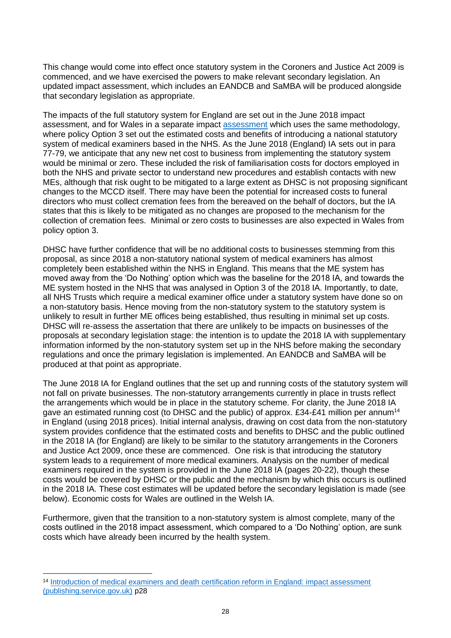This change would come into effect once statutory system in the Coroners and Justice Act 2009 is commenced, and we have exercised the powers to make relevant secondary legislation. An updated impact assessment, which includes an EANDCB and SaMBA will be produced alongside that secondary legislation as appropriate.

The impacts of the full statutory system for England are set out in the June 2018 impact assessment, and for Wales in a separate impact [assessment](https://gov.wales/introduction-medical-examiner-role-and-reforms-death-certification) which uses the same methodology, where policy Option 3 set out the estimated costs and benefits of introducing a national statutory system of medical examiners based in the NHS. As the June 2018 (England) IA sets out in para 77-79, we anticipate that any new net cost to business from implementing the statutory system would be minimal or zero. These included the risk of familiarisation costs for doctors employed in both the NHS and private sector to understand new procedures and establish contacts with new MEs, although that risk ought to be mitigated to a large extent as DHSC is not proposing significant changes to the MCCD itself. There may have been the potential for increased costs to funeral directors who must collect cremation fees from the bereaved on the behalf of doctors, but the IA states that this is likely to be mitigated as no changes are proposed to the mechanism for the collection of cremation fees. Minimal or zero costs to businesses are also expected in Wales from policy option 3.

DHSC have further confidence that will be no additional costs to businesses stemming from this proposal, as since 2018 a non-statutory national system of medical examiners has almost completely been established within the NHS in England. This means that the ME system has moved away from the 'Do Nothing' option which was the baseline for the 2018 IA, and towards the ME system hosted in the NHS that was analysed in Option 3 of the 2018 IA. Importantly, to date, all NHS Trusts which require a medical examiner office under a statutory system have done so on a non-statutory basis. Hence moving from the non-statutory system to the statutory system is unlikely to result in further ME offices being established, thus resulting in minimal set up costs. DHSC will re-assess the assertation that there are unlikely to be impacts on businesses of the proposals at secondary legislation stage: the intention is to update the 2018 IA with supplementary information informed by the non-statutory system set up in the NHS before making the secondary regulations and once the primary legislation is implemented. An EANDCB and SaMBA will be produced at that point as appropriate.

The June 2018 IA for England outlines that the set up and running costs of the statutory system will not fall on private businesses. The non-statutory arrangements currently in place in trusts reflect the arrangements which would be in place in the statutory scheme. For clarity, the June 2018 IA gave an estimated running cost (to DHSC and the public) of approx.  $£34-E41$  million per annum<sup>14</sup> in England (using 2018 prices). Initial internal analysis, drawing on cost data from the non-statutory system provides confidence that the estimated costs and benefits to DHSC and the public outlined in the 2018 IA (for England) are likely to be similar to the statutory arrangements in the Coroners and Justice Act 2009, once these are commenced. One risk is that introducing the statutory system leads to a requirement of more medical examiners. Analysis on the number of medical examiners required in the system is provided in the June 2018 IA (pages 20-22), though these costs would be covered by DHSC or the public and the mechanism by which this occurs is outlined in the 2018 IA. These cost estimates will be updated before the secondary legislation is made (see below). Economic costs for Wales are outlined in the Welsh IA.

Furthermore, given that the transition to a non-statutory system is almost complete, many of the costs outlined in the 2018 impact assessment, which compared to a 'Do Nothing' option, are sunk costs which have already been incurred by the health system.

<sup>14</sup> [Introduction of medical examiners and death certification reform in England: impact assessment](https://assets.publishing.service.gov.uk/government/uploads/system/uploads/attachment_data/file/715242/death-certification-reform-impact-assessment.pdf)  [\(publishing.service.gov.uk\)](https://assets.publishing.service.gov.uk/government/uploads/system/uploads/attachment_data/file/715242/death-certification-reform-impact-assessment.pdf) p28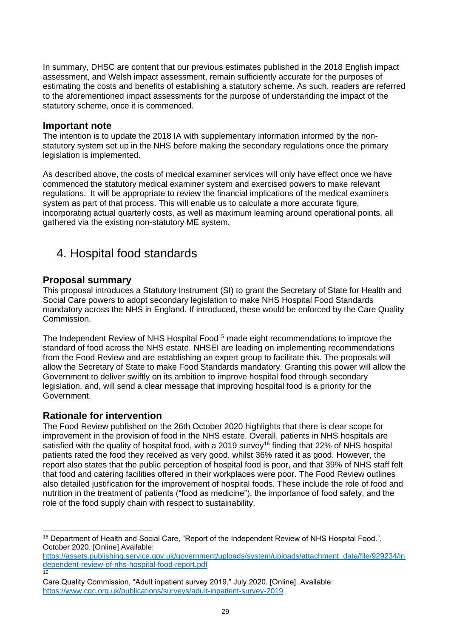In summary, DHSC are content that our previous estimates published in the 2018 English impact assessment, and Welsh impact assessment, remain sufficiently accurate for the purposes of estimating the costs and benefits of establishing a statutory scheme. As such, readers are referred to the aforementioned impact assessments for the purpose of understanding the impact of the statutory scheme, once it is commenced.

#### **Important note**

The intention is to update the 2018 IA with supplementary information informed by the nonstatutory system set up in the NHS before making the secondary regulations once the primary legislation is implemented.

As described above, the costs of medical examiner services will only have effect once we have commenced the statutory medical examiner system and exercised powers to make relevant regulations. It will be appropriate to review the financial implications of the medical examiners system as part of that process. This will enable us to calculate a more accurate figure, incorporating actual quarterly costs, as well as maximum learning around operational points, all gathered via the existing non-statutory ME system.

## 4. Hospital food standards

#### **Proposal summary**

This proposal introduces a Statutory Instrument (SI) to grant the Secretary of State for Health and Social Care powers to adopt secondary legislation to make NHS Hospital Food Standards mandatory across the NHS in England. If introduced, these would be enforced by the Care Quality Commission.

The Independent Review of NHS Hospital Food<sup>15</sup> made eight recommendations to improve the standard of food across the NHS estate. NHSEI are leading on implementing recommendations from the Food Review and are establishing an expert group to facilitate this. The proposals will allow the Secretary of State to make Food Standards mandatory. Granting this power will allow the Government to deliver swiftly on its ambition to improve hospital food through secondary legislation, and, will send a clear message that improving hospital food is a priority for the Government.

#### **Rationale for intervention**

The Food Review published on the 26th October 2020 highlights that there is clear scope for improvement in the provision of food in the NHS estate. Overall, patients in NHS hospitals are satisfied with the quality of hospital food, with a 2019 survey<sup>16</sup> finding that 22% of NHS hospital patients rated the food they received as very good, whilst 36% rated it as good. However, the report also states that the public perception of hospital food is poor, and that 39% of NHS staff felt that food and catering facilities offered in their workplaces were poor. The Food Review outlines also detailed justification for the improvement of hospital foods. These include the role of food and nutrition in the treatment of patients ("food as medicine"), the importance of food safety, and the role of the food supply chain with respect to sustainability.

<sup>15</sup> Department of Health and Social Care, "Report of the Independent Review of NHS Hospital Food.", October 2020. [Online] Available:

[https://assets.publishing.service.gov.uk/government/uploads/system/uploads/attachment\\_data/file/929234/in](https://assets.publishing.service.gov.uk/government/uploads/system/uploads/attachment_data/file/929234/independent-review-of-nhs-hospital-food-report.pdf) [dependent-review-of-nhs-hospital-food-report.pdf](https://assets.publishing.service.gov.uk/government/uploads/system/uploads/attachment_data/file/929234/independent-review-of-nhs-hospital-food-report.pdf)  16

Care Quality Commission, "Adult inpatient survey 2019," July 2020. [Online]. Available: <https://www.cqc.org.uk/publications/surveys/adult-inpatient-survey-2019>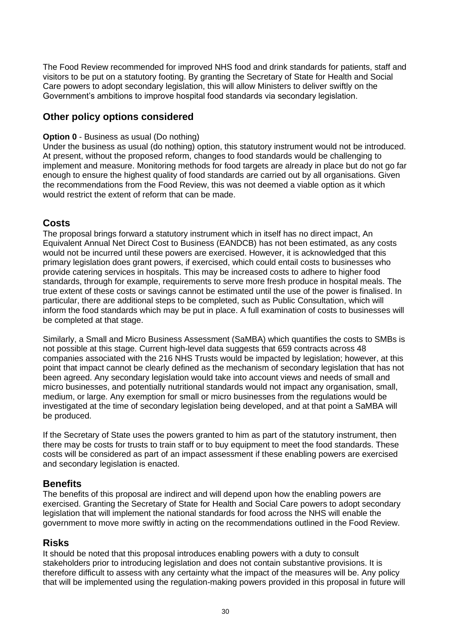The Food Review recommended for improved NHS food and drink standards for patients, staff and visitors to be put on a statutory footing. By granting the Secretary of State for Health and Social Care powers to adopt secondary legislation, this will allow Ministers to deliver swiftly on the Government's ambitions to improve hospital food standards via secondary legislation.

#### **Other policy options considered**

#### **Option 0** - Business as usual (Do nothing)

Under the business as usual (do nothing) option, this statutory instrument would not be introduced. At present, without the proposed reform, changes to food standards would be challenging to implement and measure. Monitoring methods for food targets are already in place but do not go far enough to ensure the highest quality of food standards are carried out by all organisations. Given the recommendations from the Food Review, this was not deemed a viable option as it which would restrict the extent of reform that can be made.

#### **Costs**

The proposal brings forward a statutory instrument which in itself has no direct impact, An Equivalent Annual Net Direct Cost to Business (EANDCB) has not been estimated, as any costs would not be incurred until these powers are exercised. However, it is acknowledged that this primary legislation does grant powers, if exercised, which could entail costs to businesses who provide catering services in hospitals. This may be increased costs to adhere to higher food standards, through for example, requirements to serve more fresh produce in hospital meals. The true extent of these costs or savings cannot be estimated until the use of the power is finalised. In particular, there are additional steps to be completed, such as Public Consultation, which will inform the food standards which may be put in place. A full examination of costs to businesses will be completed at that stage.

Similarly, a Small and Micro Business Assessment (SaMBA) which quantifies the costs to SMBs is not possible at this stage. Current high-level data suggests that 659 contracts across 48 companies associated with the 216 NHS Trusts would be impacted by legislation; however, at this point that impact cannot be clearly defined as the mechanism of secondary legislation that has not been agreed. Any secondary legislation would take into account views and needs of small and micro businesses, and potentially nutritional standards would not impact any organisation, small, medium, or large. Any exemption for small or micro businesses from the regulations would be investigated at the time of secondary legislation being developed, and at that point a SaMBA will be produced.

If the Secretary of State uses the powers granted to him as part of the statutory instrument, then there may be costs for trusts to train staff or to buy equipment to meet the food standards. These costs will be considered as part of an impact assessment if these enabling powers are exercised and secondary legislation is enacted.

#### **Benefits**

The benefits of this proposal are indirect and will depend upon how the enabling powers are exercised. Granting the Secretary of State for Health and Social Care powers to adopt secondary legislation that will implement the national standards for food across the NHS will enable the government to move more swiftly in acting on the recommendations outlined in the Food Review.

#### **Risks**

It should be noted that this proposal introduces enabling powers with a duty to consult stakeholders prior to introducing legislation and does not contain substantive provisions. It is therefore difficult to assess with any certainty what the impact of the measures will be. Any policy that will be implemented using the regulation-making powers provided in this proposal in future will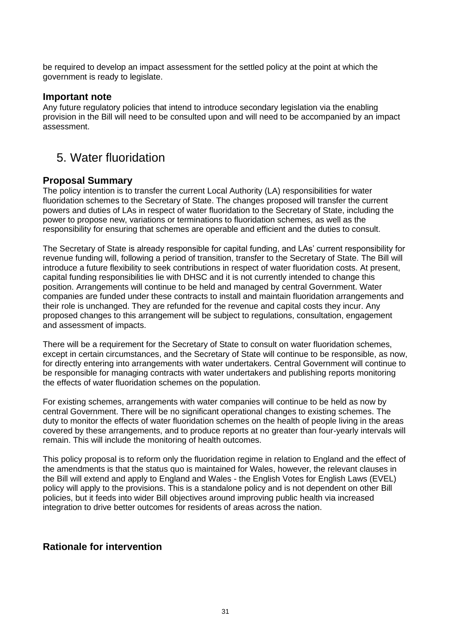be required to develop an impact assessment for the settled policy at the point at which the government is ready to legislate.

#### **Important note**

Any future regulatory policies that intend to introduce secondary legislation via the enabling provision in the Bill will need to be consulted upon and will need to be accompanied by an impact assessment.

### 5. Water fluoridation

#### **Proposal Summary**

The policy intention is to transfer the current Local Authority (LA) responsibilities for water fluoridation schemes to the Secretary of State. The changes proposed will transfer the current powers and duties of LAs in respect of water fluoridation to the Secretary of State, including the power to propose new, variations or terminations to fluoridation schemes, as well as the responsibility for ensuring that schemes are operable and efficient and the duties to consult.

The Secretary of State is already responsible for capital funding, and LAs' current responsibility for revenue funding will, following a period of transition, transfer to the Secretary of State. The Bill will introduce a future flexibility to seek contributions in respect of water fluoridation costs. At present, capital funding responsibilities lie with DHSC and it is not currently intended to change this position. Arrangements will continue to be held and managed by central Government. Water companies are funded under these contracts to install and maintain fluoridation arrangements and their role is unchanged. They are refunded for the revenue and capital costs they incur. Any proposed changes to this arrangement will be subject to regulations, consultation, engagement and assessment of impacts.

There will be a requirement for the Secretary of State to consult on water fluoridation schemes, except in certain circumstances, and the Secretary of State will continue to be responsible, as now, for directly entering into arrangements with water undertakers. Central Government will continue to be responsible for managing contracts with water undertakers and publishing reports monitoring the effects of water fluoridation schemes on the population.

For existing schemes, arrangements with water companies will continue to be held as now by central Government. There will be no significant operational changes to existing schemes. The duty to monitor the effects of water fluoridation schemes on the health of people living in the areas covered by these arrangements, and to produce reports at no greater than four-yearly intervals will remain. This will include the monitoring of health outcomes.

This policy proposal is to reform only the fluoridation regime in relation to England and the effect of the amendments is that the status quo is maintained for Wales, however, the relevant clauses in the Bill will extend and apply to England and Wales - the English Votes for English Laws (EVEL) policy will apply to the provisions. This is a standalone policy and is not dependent on other Bill policies, but it feeds into wider Bill objectives around improving public health via increased integration to drive better outcomes for residents of areas across the nation.

#### **Rationale for intervention**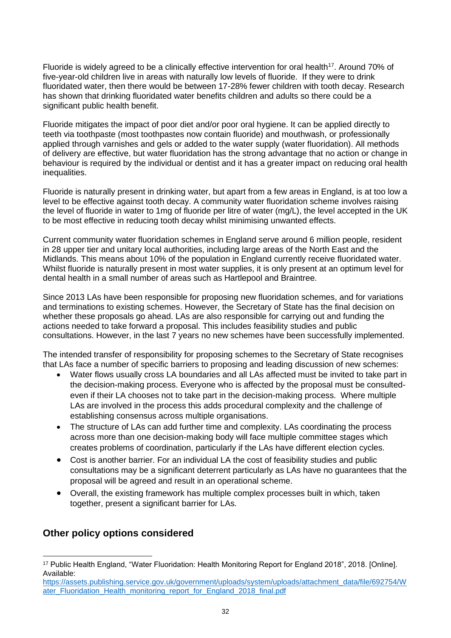Fluoride is widely agreed to be a clinically effective intervention for oral health<sup>17</sup>. Around 70% of five-year-old children live in areas with naturally low levels of fluoride. If they were to drink fluoridated water, then there would be between 17-28% fewer children with tooth decay. Research has shown that drinking fluoridated water benefits children and adults so there could be a significant public health benefit.

Fluoride mitigates the impact of poor diet and/or poor oral hygiene. It can be applied directly to teeth via toothpaste (most toothpastes now contain fluoride) and mouthwash, or professionally applied through varnishes and gels or added to the water supply (water fluoridation). All methods of delivery are effective, but water fluoridation has the strong advantage that no action or change in behaviour is required by the individual or dentist and it has a greater impact on reducing oral health inequalities.

Fluoride is naturally present in drinking water, but apart from a few areas in England, is at too low a level to be effective against tooth decay. A community water fluoridation scheme involves raising the level of fluoride in water to 1mg of fluoride per litre of water (mg/L), the level accepted in the UK to be most effective in reducing tooth decay whilst minimising unwanted effects.

Current community water fluoridation schemes in England serve around 6 million people, resident in 28 upper tier and unitary local authorities, including large areas of the North East and the Midlands. This means about 10% of the population in England currently receive fluoridated water. Whilst fluoride is naturally present in most water supplies, it is only present at an optimum level for dental health in a small number of areas such as Hartlepool and Braintree.

Since 2013 LAs have been responsible for proposing new fluoridation schemes, and for variations and terminations to existing schemes. However, the Secretary of State has the final decision on whether these proposals go ahead. LAs are also responsible for carrying out and funding the actions needed to take forward a proposal. This includes feasibility studies and public consultations. However, in the last 7 years no new schemes have been successfully implemented.

The intended transfer of responsibility for proposing schemes to the Secretary of State recognises that LAs face a number of specific barriers to proposing and leading discussion of new schemes:

- Water flows usually cross LA boundaries and all LAs affected must be invited to take part in the decision-making process. Everyone who is affected by the proposal must be consultedeven if their LA chooses not to take part in the decision-making process. Where multiple LAs are involved in the process this adds procedural complexity and the challenge of establishing consensus across multiple organisations.
- The structure of LAs can add further time and complexity. LAs coordinating the process across more than one decision-making body will face multiple committee stages which creates problems of coordination, particularly if the LAs have different election cycles.
- Cost is another barrier. For an individual LA the cost of feasibility studies and public consultations may be a significant deterrent particularly as LAs have no guarantees that the proposal will be agreed and result in an operational scheme.
- Overall, the existing framework has multiple complex processes built in which, taken together, present a significant barrier for LAs.

#### **Other policy options considered**

<sup>17</sup> Public Health England, "Water Fluoridation: Health Monitoring Report for England 2018", 2018. [Online]. Available:

[https://assets.publishing.service.gov.uk/government/uploads/system/uploads/attachment\\_data/file/692754/W](https://assets.publishing.service.gov.uk/government/uploads/system/uploads/attachment_data/file/692754/Water_Fluoridation_Health_monitoring_report_for_England_2018_final.pdf) [ater\\_Fluoridation\\_Health\\_monitoring\\_report\\_for\\_England\\_2018\\_final.pdf](https://assets.publishing.service.gov.uk/government/uploads/system/uploads/attachment_data/file/692754/Water_Fluoridation_Health_monitoring_report_for_England_2018_final.pdf)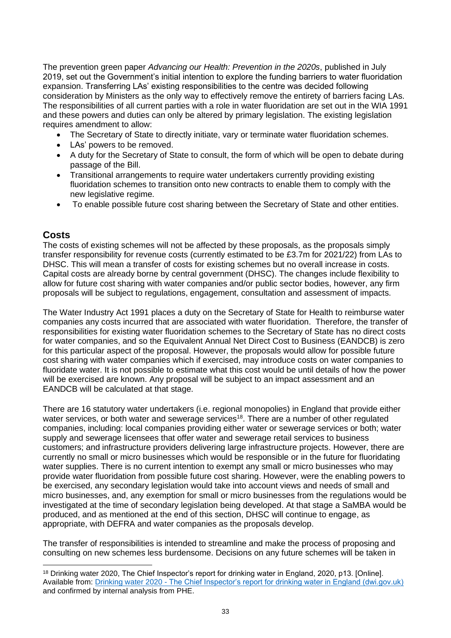The prevention green paper *Advancing our Health: Prevention in the 2020s*, published in July 2019, set out the Government's initial intention to explore the funding barriers to water fluoridation expansion. Transferring LAs' existing responsibilities to the centre was decided following consideration by Ministers as the only way to effectively remove the entirety of barriers facing LAs. The responsibilities of all current parties with a role in water fluoridation are set out in the WIA 1991 and these powers and duties can only be altered by primary legislation. The existing legislation requires amendment to allow:

- The Secretary of State to directly initiate, vary or terminate water fluoridation schemes.
- LAs' powers to be removed.
- A duty for the Secretary of State to consult, the form of which will be open to debate during passage of the Bill.
- Transitional arrangements to require water undertakers currently providing existing fluoridation schemes to transition onto new contracts to enable them to comply with the new legislative regime.
- To enable possible future cost sharing between the Secretary of State and other entities.

#### **Costs**

The costs of existing schemes will not be affected by these proposals, as the proposals simply transfer responsibility for revenue costs (currently estimated to be £3.7m for 2021/22) from LAs to DHSC. This will mean a transfer of costs for existing schemes but no overall increase in costs. Capital costs are already borne by central government (DHSC). The changes include flexibility to allow for future cost sharing with water companies and/or public sector bodies, however, any firm proposals will be subject to regulations, engagement, consultation and assessment of impacts.

The Water Industry Act 1991 places a duty on the Secretary of State for Health to reimburse water companies any costs incurred that are associated with water fluoridation. Therefore, the transfer of responsibilities for existing water fluoridation schemes to the Secretary of State has no direct costs for water companies, and so the Equivalent Annual Net Direct Cost to Business (EANDCB) is zero for this particular aspect of the proposal. However, the proposals would allow for possible future cost sharing with water companies which if exercised, may introduce costs on water companies to fluoridate water. It is not possible to estimate what this cost would be until details of how the power will be exercised are known. Any proposal will be subject to an impact assessment and an EANDCB will be calculated at that stage.

There are 16 statutory water undertakers (i.e. regional monopolies) in England that provide either water services, or both water and sewerage services<sup>18</sup>. There are a number of other regulated companies, including: local companies providing either water or sewerage services or both; water supply and sewerage licensees that offer water and sewerage retail services to business customers; and infrastructure providers delivering large infrastructure projects. However, there are currently no small or micro businesses which would be responsible or in the future for fluoridating water supplies. There is no current intention to exempt any small or micro businesses who may provide water fluoridation from possible future cost sharing. However, were the enabling powers to be exercised, any secondary legislation would take into account views and needs of small and micro businesses, and, any exemption for small or micro businesses from the regulations would be investigated at the time of secondary legislation being developed. At that stage a SaMBA would be produced, and as mentioned at the end of this section, DHSC will continue to engage, as appropriate, with DEFRA and water companies as the proposals develop.

The transfer of responsibilities is intended to streamline and make the process of proposing and consulting on new schemes less burdensome. Decisions on any future schemes will be taken in

<sup>18</sup> Drinking water 2020, The Chief Inspector's report for drinking water in England, 2020, p13. [Online]. Available from: Drinking water 2020 - [The Chief Inspector's report for drinking water in England \(dwi.gov.uk\)](https://cdn.dwi.gov.uk/wp-content/uploads/2021/07/09174358/1179-APS-England_CCS1020445030-003_Chief_Inspectors_Report_2021_Prf_52.pdf) and confirmed by internal analysis from PHE.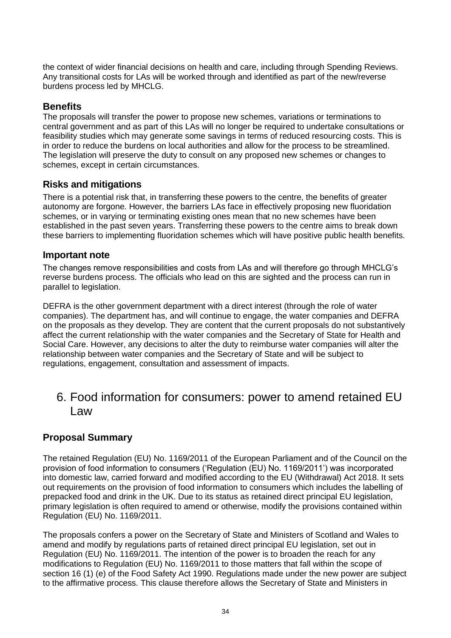the context of wider financial decisions on health and care, including through Spending Reviews. Any transitional costs for LAs will be worked through and identified as part of the new/reverse burdens process led by MHCLG.

#### **Benefits**

The proposals will transfer the power to propose new schemes, variations or terminations to central government and as part of this LAs will no longer be required to undertake consultations or feasibility studies which may generate some savings in terms of reduced resourcing costs. This is in order to reduce the burdens on local authorities and allow for the process to be streamlined. The legislation will preserve the duty to consult on any proposed new schemes or changes to schemes, except in certain circumstances.

#### **Risks and mitigations**

There is a potential risk that, in transferring these powers to the centre, the benefits of greater autonomy are forgone. However, the barriers LAs face in effectively proposing new fluoridation schemes, or in varying or terminating existing ones mean that no new schemes have been established in the past seven years. Transferring these powers to the centre aims to break down these barriers to implementing fluoridation schemes which will have positive public health benefits.

#### **Important note**

The changes remove responsibilities and costs from LAs and will therefore go through MHCLG's reverse burdens process. The officials who lead on this are sighted and the process can run in parallel to legislation.

DEFRA is the other government department with a direct interest (through the role of water companies). The department has, and will continue to engage, the water companies and DEFRA on the proposals as they develop. They are content that the current proposals do not substantively affect the current relationship with the water companies and the Secretary of State for Health and Social Care. However, any decisions to alter the duty to reimburse water companies will alter the relationship between water companies and the Secretary of State and will be subject to regulations, engagement, consultation and assessment of impacts.

## 6. Food information for consumers: power to amend retained EU Law

#### **Proposal Summary**

The retained Regulation (EU) No. 1169/2011 of the European Parliament and of the Council on the provision of food information to consumers ('Regulation (EU) No. 1169/2011') was incorporated into domestic law, carried forward and modified according to the EU (Withdrawal) Act 2018. It sets out requirements on the provision of food information to consumers which includes the labelling of prepacked food and drink in the UK. Due to its status as retained direct principal EU legislation, primary legislation is often required to amend or otherwise, modify the provisions contained within Regulation (EU) No. 1169/2011.

The proposals confers a power on the Secretary of State and Ministers of Scotland and Wales to amend and modify by regulations parts of retained direct principal EU legislation, set out in Regulation (EU) No. 1169/2011. The intention of the power is to broaden the reach for any modifications to Regulation (EU) No. 1169/2011 to those matters that fall within the scope of section 16 (1) (e) of the Food Safety Act 1990. Regulations made under the new power are subject to the affirmative process. This clause therefore allows the Secretary of State and Ministers in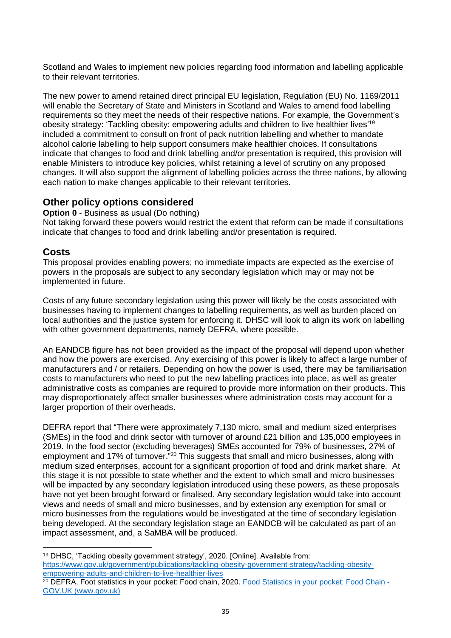Scotland and Wales to implement new policies regarding food information and labelling applicable to their relevant territories.

The new power to amend retained direct principal EU legislation, Regulation (EU) No. 1169/2011 will enable the Secretary of State and Ministers in Scotland and Wales to amend food labelling requirements so they meet the needs of their respective nations. For example, the Government's obesity strategy: 'Tackling obesity: empowering adults and children to live healthier lives'<sup>19</sup> included a commitment to consult on front of pack nutrition labelling and whether to mandate alcohol calorie labelling to help support consumers make healthier choices. If consultations indicate that changes to food and drink labelling and/or presentation is required, this provision will enable Ministers to introduce key policies, whilst retaining a level of scrutiny on any proposed changes. It will also support the alignment of labelling policies across the three nations, by allowing each nation to make changes applicable to their relevant territories.

#### **Other policy options considered**

**Option 0** - Business as usual (Do nothing)

Not taking forward these powers would restrict the extent that reform can be made if consultations indicate that changes to food and drink labelling and/or presentation is required.

#### **Costs**

This proposal provides enabling powers; no immediate impacts are expected as the exercise of powers in the proposals are subject to any secondary legislation which may or may not be implemented in future.  

Costs of any future secondary legislation using this power will likely be the costs associated with businesses having to implement changes to labelling requirements, as well as burden placed on local authorities and the justice system for enforcing it. DHSC will look to align its work on labelling with other government departments, namely DEFRA, where possible.

An EANDCB figure has not been provided as the impact of the proposal will depend upon whether and how the powers are exercised. Any exercising of this power is likely to affect a large number of manufacturers and / or retailers. Depending on how the power is used, there may be familiarisation costs to manufacturers who need to put the new labelling practices into place, as well as greater administrative costs as companies are required to provide more information on their products. This may disproportionately affect smaller businesses where administration costs may account for a larger proportion of their overheads.

DEFRA report that "There were approximately 7,130 micro, small and medium sized enterprises (SMEs) in the food and drink sector with turnover of around £21 billion and 135,000 employees in 2019. In the food sector (excluding beverages) SMEs accounted for 79% of businesses, 27% of employment and 17% of turnover.<sup>"20</sup> This suggests that small and micro businesses, along with medium sized enterprises, account for a significant proportion of food and drink market share. At this stage it is not possible to state whether and the extent to which small and micro businesses will be impacted by any secondary legislation introduced using these powers, as these proposals have not yet been brought forward or finalised. Any secondary legislation would take into account views and needs of small and micro businesses, and by extension any exemption for small or micro businesses from the regulations would be investigated at the time of secondary legislation being developed. At the secondary legislation stage an EANDCB will be calculated as part of an impact assessment, and, a SaMBA will be produced.

<sup>19</sup> DHSC, 'Tackling obesity government strategy', 2020. [Online]. Available from: [https://www.gov.uk/government/publications/tackling-obesity-government-strategy/tackling-obesity](https://www.gov.uk/government/publications/tackling-obesity-government-strategy/tackling-obesity-empowering-adults-and-children-to-live-healthier-lives)[empowering-adults-and-children-to-live-healthier-lives](https://www.gov.uk/government/publications/tackling-obesity-government-strategy/tackling-obesity-empowering-adults-and-children-to-live-healthier-lives)

<sup>&</sup>lt;sup>20</sup> DEFRA, Foot statistics in your pocket: Food chain, 2020. [Food Statistics in your pocket: Food Chain -](https://www.gov.uk/government/statistics/food-statistics-pocketbook/food-statistics-in-your-pocket-food-chain) [GOV.UK \(www.gov.uk\)](https://www.gov.uk/government/statistics/food-statistics-pocketbook/food-statistics-in-your-pocket-food-chain)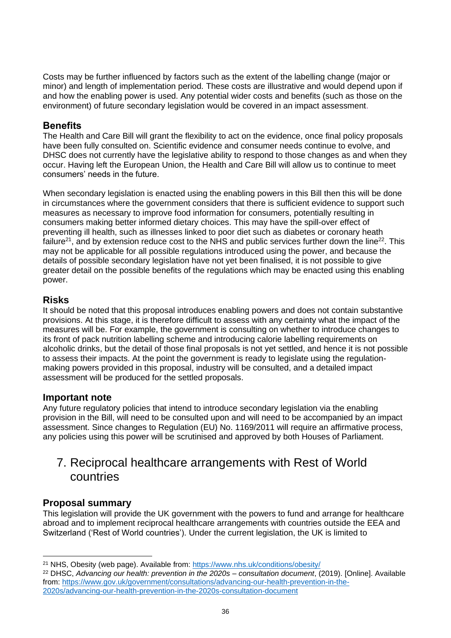Costs may be further influenced by factors such as the extent of the labelling change (major or minor) and length of implementation period. These costs are illustrative and would depend upon if and how the enabling power is used. Any potential wider costs and benefits (such as those on the environment) of future secondary legislation would be covered in an impact assessment.

#### **Benefits**

The Health and Care Bill will grant the flexibility to act on the evidence, once final policy proposals have been fully consulted on. Scientific evidence and consumer needs continue to evolve, and DHSC does not currently have the legislative ability to respond to those changes as and when they occur. Having left the European Union, the Health and Care Bill will allow us to continue to meet consumers' needs in the future.

When secondary legislation is enacted using the enabling powers in this Bill then this will be done in circumstances where the government considers that there is sufficient evidence to support such measures as necessary to improve food information for consumers, potentially resulting in consumers making better informed dietary choices. This may have the spill-over effect of preventing ill health, such as illnesses linked to poor diet such as diabetes or coronary heath failure<sup>21</sup>, and by extension reduce cost to the NHS and public services further down the line<sup>22</sup>. This may not be applicable for all possible regulations introduced using the power, and because the details of possible secondary legislation have not yet been finalised, it is not possible to give greater detail on the possible benefits of the regulations which may be enacted using this enabling power.

#### **Risks**

It should be noted that this proposal introduces enabling powers and does not contain substantive provisions. At this stage, it is therefore difficult to assess with any certainty what the impact of the measures will be. For example, the government is consulting on whether to introduce changes to its front of pack nutrition labelling scheme and introducing calorie labelling requirements on alcoholic drinks, but the detail of those final proposals is not yet settled, and hence it is not possible to assess their impacts. At the point the government is ready to legislate using the regulationmaking powers provided in this proposal, industry will be consulted, and a detailed impact assessment will be produced for the settled proposals.

#### **Important note**

Any future regulatory policies that intend to introduce secondary legislation via the enabling provision in the Bill, will need to be consulted upon and will need to be accompanied by an impact assessment. Since changes to Regulation (EU) No. 1169/2011 will require an affirmative process, any policies using this power will be scrutinised and approved by both Houses of Parliament.

### 7. Reciprocal healthcare arrangements with Rest of World countries

#### **Proposal summary**

This legislation will provide the UK government with the powers to fund and arrange for healthcare abroad and to implement reciprocal healthcare arrangements with countries outside the EEA and Switzerland ('Rest of World countries'). Under the current legislation, the UK is limited to

<sup>21</sup> NHS, Obesity (web page). Available from: <https://www.nhs.uk/conditions/obesity/>

<sup>22</sup> DHSC, *Advancing our health: prevention in the 2020s – consultation document*, (2019). [Online]. Available from: [https://www.gov.uk/government/consultations/advancing-our-health-prevention-in-the-](https://www.gov.uk/government/consultations/advancing-our-health-prevention-in-the-2020s/advancing-our-health-prevention-in-the-2020s-consultation-document)[2020s/advancing-our-health-prevention-in-the-2020s-consultation-document](https://www.gov.uk/government/consultations/advancing-our-health-prevention-in-the-2020s/advancing-our-health-prevention-in-the-2020s-consultation-document)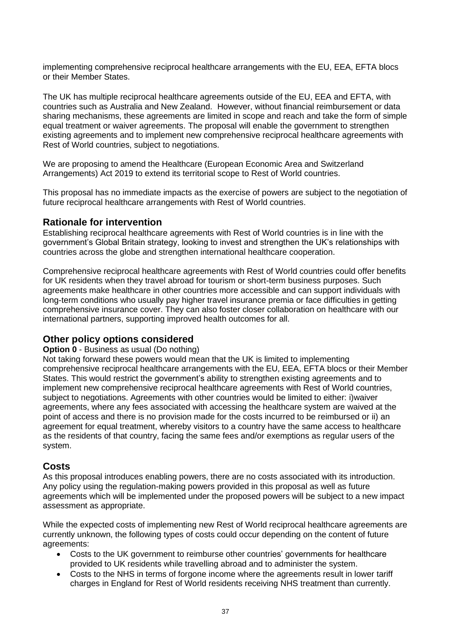implementing comprehensive reciprocal healthcare arrangements with the EU, EEA, EFTA blocs or their Member States.

The UK has multiple reciprocal healthcare agreements outside of the EU, EEA and EFTA, with countries such as Australia and New Zealand. However, without financial reimbursement or data sharing mechanisms, these agreements are limited in scope and reach and take the form of simple equal treatment or waiver agreements. The proposal will enable the government to strengthen existing agreements and to implement new comprehensive reciprocal healthcare agreements with Rest of World countries, subject to negotiations.

We are proposing to amend the Healthcare (European Economic Area and Switzerland Arrangements) Act 2019 to extend its territorial scope to Rest of World countries.

This proposal has no immediate impacts as the exercise of powers are subject to the negotiation of future reciprocal healthcare arrangements with Rest of World countries.

#### **Rationale for intervention**

Establishing reciprocal healthcare agreements with Rest of World countries is in line with the government's Global Britain strategy, looking to invest and strengthen the UK's relationships with countries across the globe and strengthen international healthcare cooperation.

Comprehensive reciprocal healthcare agreements with Rest of World countries could offer benefits for UK residents when they travel abroad for tourism or short-term business purposes. Such agreements make healthcare in other countries more accessible and can support individuals with long-term conditions who usually pay higher travel insurance premia or face difficulties in getting comprehensive insurance cover. They can also foster closer collaboration on healthcare with our international partners, supporting improved health outcomes for all.

#### **Other policy options considered**

#### **Option 0** - Business as usual (Do nothing)

Not taking forward these powers would mean that the UK is limited to implementing comprehensive reciprocal healthcare arrangements with the EU, EEA, EFTA blocs or their Member States. This would restrict the government's ability to strengthen existing agreements and to implement new comprehensive reciprocal healthcare agreements with Rest of World countries, subject to negotiations. Agreements with other countries would be limited to either: i)waiver agreements, where any fees associated with accessing the healthcare system are waived at the point of access and there is no provision made for the costs incurred to be reimbursed or ii) an agreement for equal treatment, whereby visitors to a country have the same access to healthcare as the residents of that country, facing the same fees and/or exemptions as regular users of the system.

#### **Costs**

As this proposal introduces enabling powers, there are no costs associated with its introduction. Any policy using the regulation-making powers provided in this proposal as well as future agreements which will be implemented under the proposed powers will be subject to a new impact assessment as appropriate.

While the expected costs of implementing new Rest of World reciprocal healthcare agreements are currently unknown, the following types of costs could occur depending on the content of future agreements:

- Costs to the UK government to reimburse other countries' governments for healthcare provided to UK residents while travelling abroad and to administer the system.
- Costs to the NHS in terms of forgone income where the agreements result in lower tariff charges in England for Rest of World residents receiving NHS treatment than currently.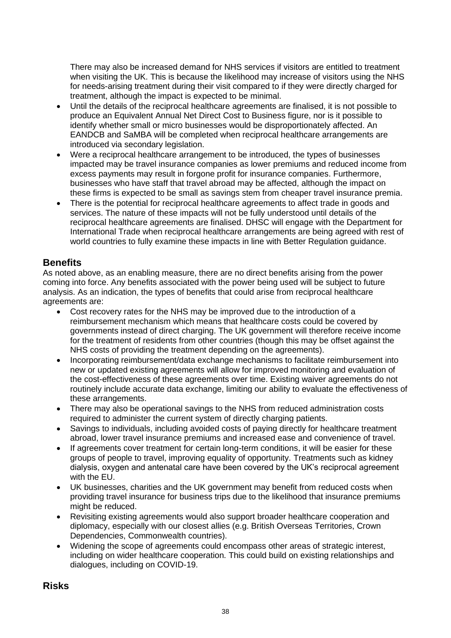There may also be increased demand for NHS services if visitors are entitled to treatment when visiting the UK. This is because the likelihood may increase of visitors using the NHS for needs-arising treatment during their visit compared to if they were directly charged for treatment, although the impact is expected to be minimal.

- Until the details of the reciprocal healthcare agreements are finalised, it is not possible to produce an Equivalent Annual Net Direct Cost to Business figure, nor is it possible to identify whether small or micro businesses would be disproportionately affected. An EANDCB and SaMBA will be completed when reciprocal healthcare arrangements are introduced via secondary legislation.
- Were a reciprocal healthcare arrangement to be introduced, the types of businesses impacted may be travel insurance companies as lower premiums and reduced income from excess payments may result in forgone profit for insurance companies. Furthermore, businesses who have staff that travel abroad may be affected, although the impact on these firms is expected to be small as savings stem from cheaper travel insurance premia.
- There is the potential for reciprocal healthcare agreements to affect trade in goods and services. The nature of these impacts will not be fully understood until details of the reciprocal healthcare agreements are finalised. DHSC will engage with the Department for International Trade when reciprocal healthcare arrangements are being agreed with rest of world countries to fully examine these impacts in line with Better Regulation guidance.

#### **Benefits**

As noted above, as an enabling measure, there are no direct benefits arising from the power coming into force. Any benefits associated with the power being used will be subject to future analysis. As an indication, the types of benefits that could arise from reciprocal healthcare agreements are:

- Cost recovery rates for the NHS may be improved due to the introduction of a reimbursement mechanism which means that healthcare costs could be covered by governments instead of direct charging. The UK government will therefore receive income for the treatment of residents from other countries (though this may be offset against the NHS costs of providing the treatment depending on the agreements).
- Incorporating reimbursement/data exchange mechanisms to facilitate reimbursement into new or updated existing agreements will allow for improved monitoring and evaluation of the cost-effectiveness of these agreements over time. Existing waiver agreements do not routinely include accurate data exchange, limiting our ability to evaluate the effectiveness of these arrangements.
- There may also be operational savings to the NHS from reduced administration costs required to administer the current system of directly charging patients.
- Savings to individuals, including avoided costs of paying directly for healthcare treatment abroad, lower travel insurance premiums and increased ease and convenience of travel.
- If agreements cover treatment for certain long-term conditions, it will be easier for these groups of people to travel, improving equality of opportunity. Treatments such as kidney dialysis, oxygen and antenatal care have been covered by the UK's reciprocal agreement with the EU.
- UK businesses, charities and the UK government may benefit from reduced costs when providing travel insurance for business trips due to the likelihood that insurance premiums might be reduced.
- Revisiting existing agreements would also support broader healthcare cooperation and diplomacy, especially with our closest allies (e.g. British Overseas Territories, Crown Dependencies, Commonwealth countries).
- Widening the scope of agreements could encompass other areas of strategic interest, including on wider healthcare cooperation. This could build on existing relationships and dialogues, including on COVID-19.

#### **Risks**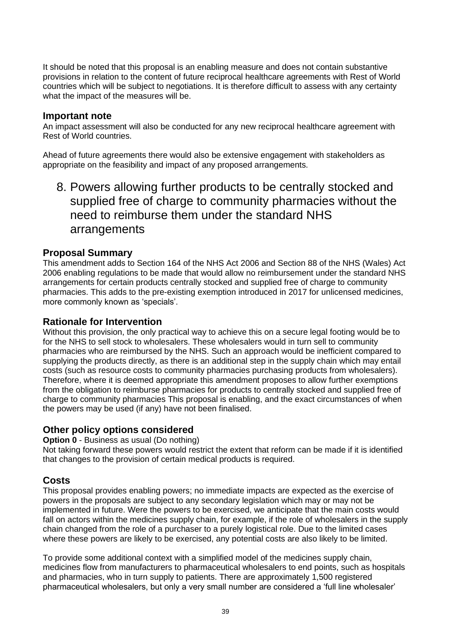It should be noted that this proposal is an enabling measure and does not contain substantive provisions in relation to the content of future reciprocal healthcare agreements with Rest of World countries which will be subject to negotiations. It is therefore difficult to assess with any certainty what the impact of the measures will be.

#### **Important note**

An impact assessment will also be conducted for any new reciprocal healthcare agreement with Rest of World countries.

Ahead of future agreements there would also be extensive engagement with stakeholders as appropriate on the feasibility and impact of any proposed arrangements.

8. Powers allowing further products to be centrally stocked and supplied free of charge to community pharmacies without the need to reimburse them under the standard NHS arrangements

#### **Proposal Summary**

This amendment adds to Section 164 of the NHS Act 2006 and Section 88 of the NHS (Wales) Act 2006 enabling regulations to be made that would allow no reimbursement under the standard NHS arrangements for certain products centrally stocked and supplied free of charge to community pharmacies. This adds to the pre-existing exemption introduced in 2017 for unlicensed medicines, more commonly known as 'specials'.

#### **Rationale for Intervention**

Without this provision, the only practical way to achieve this on a secure legal footing would be to for the NHS to sell stock to wholesalers. These wholesalers would in turn sell to community pharmacies who are reimbursed by the NHS. Such an approach would be inefficient compared to supplying the products directly, as there is an additional step in the supply chain which may entail costs (such as resource costs to community pharmacies purchasing products from wholesalers). Therefore, where it is deemed appropriate this amendment proposes to allow further exemptions from the obligation to reimburse pharmacies for products to centrally stocked and supplied free of charge to community pharmacies This proposal is enabling, and the exact circumstances of when the powers may be used (if any) have not been finalised.

#### **Other policy options considered**

**Option 0** - Business as usual (Do nothing)

Not taking forward these powers would restrict the extent that reform can be made if it is identified that changes to the provision of certain medical products is required.

#### **Costs**

This proposal provides enabling powers; no immediate impacts are expected as the exercise of powers in the proposals are subject to any secondary legislation which may or may not be implemented in future. Were the powers to be exercised, we anticipate that the main costs would fall on actors within the medicines supply chain, for example, if the role of wholesalers in the supply chain changed from the role of a purchaser to a purely logistical role. Due to the limited cases where these powers are likely to be exercised, any potential costs are also likely to be limited.

To provide some additional context with a simplified model of the medicines supply chain, medicines flow from manufacturers to pharmaceutical wholesalers to end points, such as hospitals and pharmacies, who in turn supply to patients. There are approximately 1,500 registered pharmaceutical wholesalers, but only a very small number are considered a 'full line wholesaler'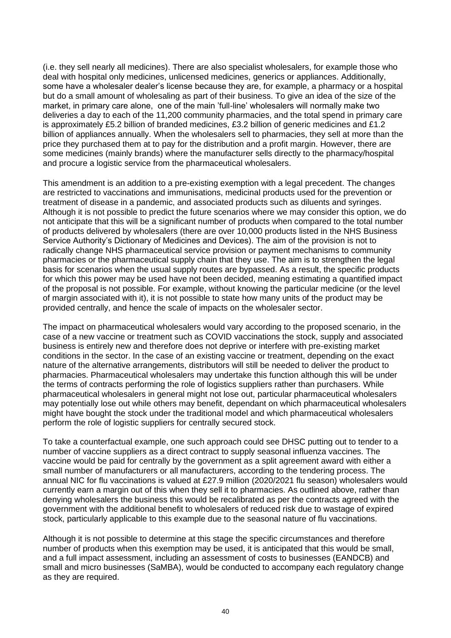(i.e. they sell nearly all medicines). There are also specialist wholesalers, for example those who deal with hospital only medicines, unlicensed medicines, generics or appliances. Additionally, some have a wholesaler dealer's license because they are, for example, a pharmacy or a hospital but do a small amount of wholesaling as part of their business. To give an idea of the size of the market, in primary care alone, one of the main 'full-line' wholesalers will normally make two deliveries a day to each of the 11,200 community pharmacies, and the total spend in primary care is approximately £5.2 billion of branded medicines, £3.2 billion of generic medicines and £1.2 billion of appliances annually. When the wholesalers sell to pharmacies, they sell at more than the price they purchased them at to pay for the distribution and a profit margin. However, there are some medicines (mainly brands) where the manufacturer sells directly to the pharmacy/hospital and procure a logistic service from the pharmaceutical wholesalers.

This amendment is an addition to a pre-existing exemption with a legal precedent. The changes are restricted to vaccinations and immunisations, medicinal products used for the prevention or treatment of disease in a pandemic, and associated products such as diluents and syringes. Although it is not possible to predict the future scenarios where we may consider this option, we do not anticipate that this will be a significant number of products when compared to the total number of products delivered by wholesalers (there are over 10,000 products listed in the NHS Business Service Authority's Dictionary of Medicines and Devices). The aim of the provision is not to radically change NHS pharmaceutical service provision or payment mechanisms to community pharmacies or the pharmaceutical supply chain that they use. The aim is to strengthen the legal basis for scenarios when the usual supply routes are bypassed. As a result, the specific products for which this power may be used have not been decided, meaning estimating a quantified impact of the proposal is not possible. For example, without knowing the particular medicine (or the level of margin associated with it), it is not possible to state how many units of the product may be provided centrally, and hence the scale of impacts on the wholesaler sector.

The impact on pharmaceutical wholesalers would vary according to the proposed scenario, in the case of a new vaccine or treatment such as COVID vaccinations the stock, supply and associated business is entirely new and therefore does not deprive or interfere with pre-existing market conditions in the sector. In the case of an existing vaccine or treatment, depending on the exact nature of the alternative arrangements, distributors will still be needed to deliver the product to pharmacies. Pharmaceutical wholesalers may undertake this function although this will be under the terms of contracts performing the role of logistics suppliers rather than purchasers. While pharmaceutical wholesalers in general might not lose out, particular pharmaceutical wholesalers may potentially lose out while others may benefit, dependant on which pharmaceutical wholesalers might have bought the stock under the traditional model and which pharmaceutical wholesalers perform the role of logistic suppliers for centrally secured stock.

To take a counterfactual example, one such approach could see DHSC putting out to tender to a number of vaccine suppliers as a direct contract to supply seasonal influenza vaccines. The vaccine would be paid for centrally by the government as a split agreement award with either a small number of manufacturers or all manufacturers, according to the tendering process. The annual NIC for flu vaccinations is valued at £27.9 million (2020/2021 flu season) wholesalers would currently earn a margin out of this when they sell it to pharmacies. As outlined above, rather than denying wholesalers the business this would be recalibrated as per the contracts agreed with the government with the additional benefit to wholesalers of reduced risk due to wastage of expired stock, particularly applicable to this example due to the seasonal nature of flu vaccinations.

Although it is not possible to determine at this stage the specific circumstances and therefore number of products when this exemption may be used, it is anticipated that this would be small, and a full impact assessment, including an assessment of costs to businesses (EANDCB) and small and micro businesses (SaMBA), would be conducted to accompany each regulatory change as they are required.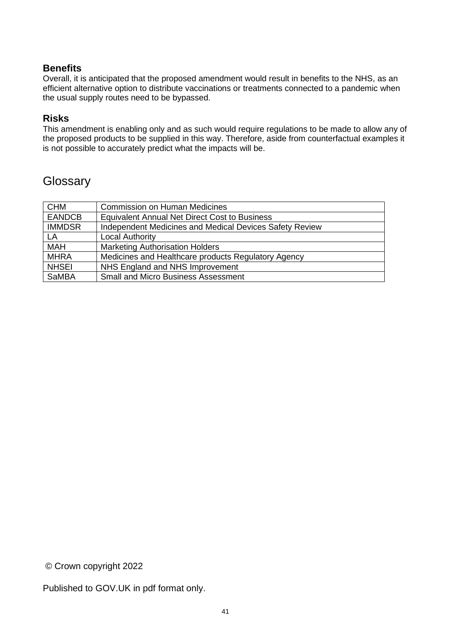#### **Benefits**

Overall, it is anticipated that the proposed amendment would result in benefits to the NHS, as an efficient alternative option to distribute vaccinations or treatments connected to a pandemic when the usual supply routes need to be bypassed.

#### **Risks**

This amendment is enabling only and as such would require regulations to be made to allow any of the proposed products to be supplied in this way. Therefore, aside from counterfactual examples it is not possible to accurately predict what the impacts will be.

### **Glossary**

| <b>CHM</b>    | <b>Commission on Human Medicines</b>                    |
|---------------|---------------------------------------------------------|
| <b>EANDCB</b> | <b>Equivalent Annual Net Direct Cost to Business</b>    |
| <b>IMMDSR</b> | Independent Medicines and Medical Devices Safety Review |
| LA            | <b>Local Authority</b>                                  |
| <b>MAH</b>    | <b>Marketing Authorisation Holders</b>                  |
| <b>MHRA</b>   | Medicines and Healthcare products Regulatory Agency     |
| <b>NHSEI</b>  | NHS England and NHS Improvement                         |
| SaMBA         | <b>Small and Micro Business Assessment</b>              |

© Crown copyright 2022

Published to GOV.UK in pdf format only.